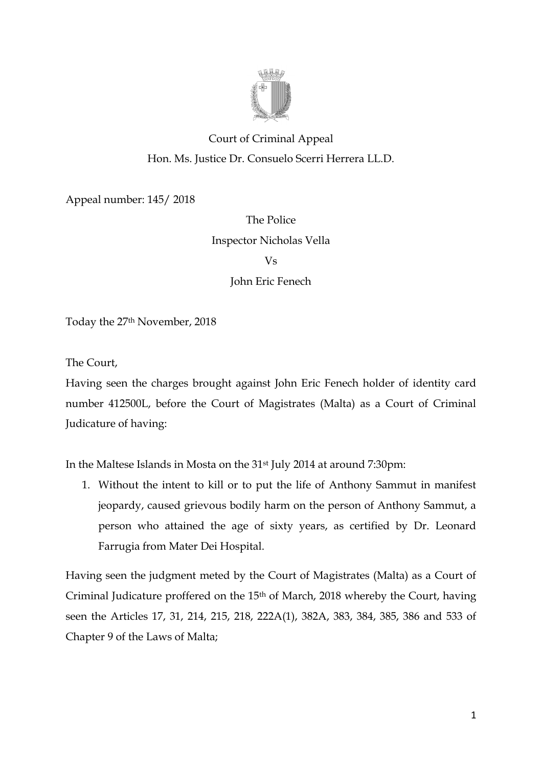

# Court of Criminal Appeal Hon. Ms. Justice Dr. Consuelo Scerri Herrera LL.D.

Appeal number: 145/ 2018

# The Police Inspector Nicholas Vella

Vs

John Eric Fenech

Today the 27th November, 2018

The Court,

Having seen the charges brought against John Eric Fenech holder of identity card number 412500L, before the Court of Magistrates (Malta) as a Court of Criminal Judicature of having:

In the Maltese Islands in Mosta on the 31st July 2014 at around 7:30pm:

1. Without the intent to kill or to put the life of Anthony Sammut in manifest jeopardy, caused grievous bodily harm on the person of Anthony Sammut, a person who attained the age of sixty years, as certified by Dr. Leonard Farrugia from Mater Dei Hospital.

Having seen the judgment meted by the Court of Magistrates (Malta) as a Court of Criminal Judicature proffered on the 15th of March, 2018 whereby the Court, having seen the Articles 17, 31, 214, 215, 218, 222A(1), 382A, 383, 384, 385, 386 and 533 of Chapter 9 of the Laws of Malta;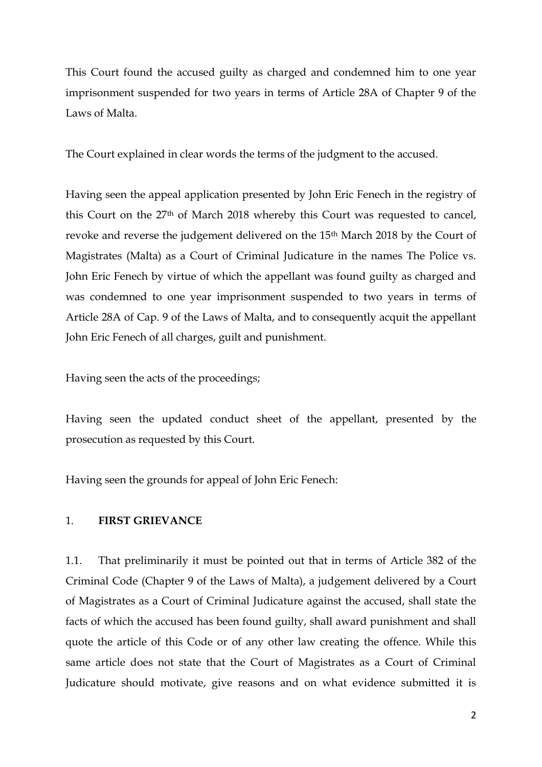This Court found the accused guilty as charged and condemned him to one year imprisonment suspended for two years in terms of Article 28A of Chapter 9 of the Laws of Malta.

The Court explained in clear words the terms of the judgment to the accused.

Having seen the appeal application presented by John Eric Fenech in the registry of this Court on the 27th of March 2018 whereby this Court was requested to cancel, revoke and reverse the judgement delivered on the 15<sup>th</sup> March 2018 by the Court of Magistrates (Malta) as a Court of Criminal Judicature in the names The Police vs. John Eric Fenech by virtue of which the appellant was found guilty as charged and was condemned to one year imprisonment suspended to two years in terms of Article 28A of Cap. 9 of the Laws of Malta, and to consequently acquit the appellant John Eric Fenech of all charges, guilt and punishment.

Having seen the acts of the proceedings;

Having seen the updated conduct sheet of the appellant, presented by the prosecution as requested by this Court.

Having seen the grounds for appeal of John Eric Fenech:

#### 1. **FIRST GRIEVANCE**

1.1. That preliminarily it must be pointed out that in terms of Article 382 of the Criminal Code (Chapter 9 of the Laws of Malta), a judgement delivered by a Court of Magistrates as a Court of Criminal Judicature against the accused, shall state the facts of which the accused has been found guilty, shall award punishment and shall quote the article of this Code or of any other law creating the offence. While this same article does not state that the Court of Magistrates as a Court of Criminal Judicature should motivate, give reasons and on what evidence submitted it is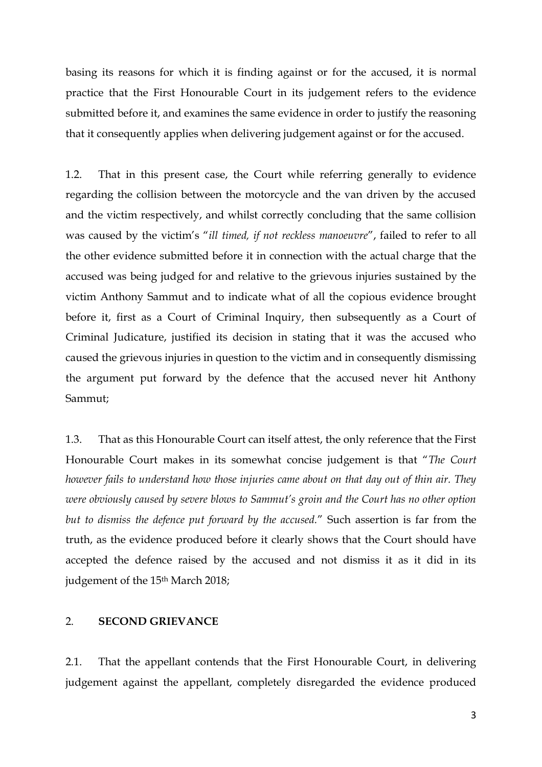basing its reasons for which it is finding against or for the accused, it is normal practice that the First Honourable Court in its judgement refers to the evidence submitted before it, and examines the same evidence in order to justify the reasoning that it consequently applies when delivering judgement against or for the accused.

1.2. That in this present case, the Court while referring generally to evidence regarding the collision between the motorcycle and the van driven by the accused and the victim respectively, and whilst correctly concluding that the same collision was caused by the victim's "*ill timed, if not reckless manoeuvre*", failed to refer to all the other evidence submitted before it in connection with the actual charge that the accused was being judged for and relative to the grievous injuries sustained by the victim Anthony Sammut and to indicate what of all the copious evidence brought before it, first as a Court of Criminal Inquiry, then subsequently as a Court of Criminal Judicature, justified its decision in stating that it was the accused who caused the grievous injuries in question to the victim and in consequently dismissing the argument put forward by the defence that the accused never hit Anthony Sammut;

1.3. That as this Honourable Court can itself attest, the only reference that the First Honourable Court makes in its somewhat concise judgement is that "*The Court however fails to understand how those injuries came about on that day out of thin air. They were obviously caused by severe blows to Sammut's groin and the Court has no other option but to dismiss the defence put forward by the accused.*" Such assertion is far from the truth, as the evidence produced before it clearly shows that the Court should have accepted the defence raised by the accused and not dismiss it as it did in its judgement of the 15<sup>th</sup> March 2018;

#### 2. **SECOND GRIEVANCE**

2.1. That the appellant contends that the First Honourable Court, in delivering judgement against the appellant, completely disregarded the evidence produced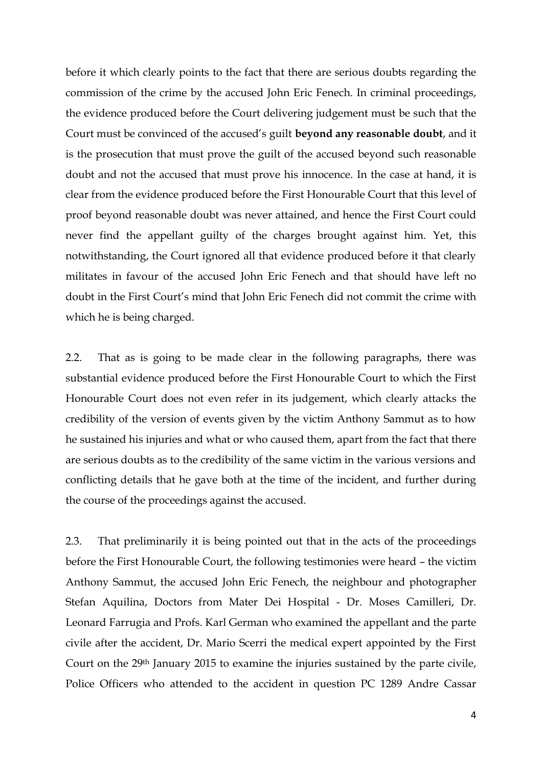before it which clearly points to the fact that there are serious doubts regarding the commission of the crime by the accused John Eric Fenech. In criminal proceedings, the evidence produced before the Court delivering judgement must be such that the Court must be convinced of the accused's guilt **beyond any reasonable doubt**, and it is the prosecution that must prove the guilt of the accused beyond such reasonable doubt and not the accused that must prove his innocence. In the case at hand, it is clear from the evidence produced before the First Honourable Court that this level of proof beyond reasonable doubt was never attained, and hence the First Court could never find the appellant guilty of the charges brought against him. Yet, this notwithstanding, the Court ignored all that evidence produced before it that clearly militates in favour of the accused John Eric Fenech and that should have left no doubt in the First Court's mind that John Eric Fenech did not commit the crime with which he is being charged.

2.2. That as is going to be made clear in the following paragraphs, there was substantial evidence produced before the First Honourable Court to which the First Honourable Court does not even refer in its judgement, which clearly attacks the credibility of the version of events given by the victim Anthony Sammut as to how he sustained his injuries and what or who caused them, apart from the fact that there are serious doubts as to the credibility of the same victim in the various versions and conflicting details that he gave both at the time of the incident, and further during the course of the proceedings against the accused.

2.3. That preliminarily it is being pointed out that in the acts of the proceedings before the First Honourable Court, the following testimonies were heard – the victim Anthony Sammut, the accused John Eric Fenech, the neighbour and photographer Stefan Aquilina, Doctors from Mater Dei Hospital - Dr. Moses Camilleri, Dr. Leonard Farrugia and Profs. Karl German who examined the appellant and the parte civile after the accident, Dr. Mario Scerri the medical expert appointed by the First Court on the 29th January 2015 to examine the injuries sustained by the parte civile, Police Officers who attended to the accident in question PC 1289 Andre Cassar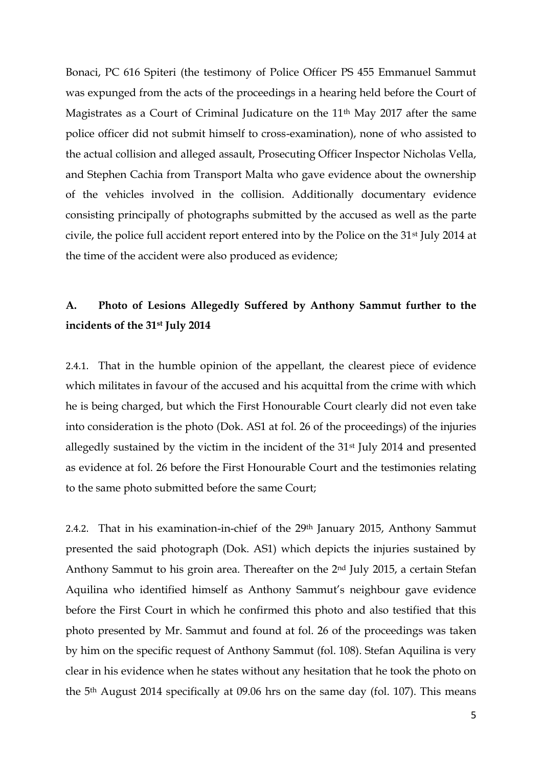Bonaci, PC 616 Spiteri (the testimony of Police Officer PS 455 Emmanuel Sammut was expunged from the acts of the proceedings in a hearing held before the Court of Magistrates as a Court of Criminal Judicature on the 11<sup>th</sup> May 2017 after the same police officer did not submit himself to cross-examination), none of who assisted to the actual collision and alleged assault, Prosecuting Officer Inspector Nicholas Vella, and Stephen Cachia from Transport Malta who gave evidence about the ownership of the vehicles involved in the collision. Additionally documentary evidence consisting principally of photographs submitted by the accused as well as the parte civile, the police full accident report entered into by the Police on the 31st July 2014 at the time of the accident were also produced as evidence;

# **A. Photo of Lesions Allegedly Suffered by Anthony Sammut further to the incidents of the 31st July 2014**

2.4.1. That in the humble opinion of the appellant, the clearest piece of evidence which militates in favour of the accused and his acquittal from the crime with which he is being charged, but which the First Honourable Court clearly did not even take into consideration is the photo (Dok. AS1 at fol. 26 of the proceedings) of the injuries allegedly sustained by the victim in the incident of the 31st July 2014 and presented as evidence at fol. 26 before the First Honourable Court and the testimonies relating to the same photo submitted before the same Court;

2.4.2. That in his examination-in-chief of the 29th January 2015, Anthony Sammut presented the said photograph (Dok. AS1) which depicts the injuries sustained by Anthony Sammut to his groin area. Thereafter on the 2nd July 2015, a certain Stefan Aquilina who identified himself as Anthony Sammut's neighbour gave evidence before the First Court in which he confirmed this photo and also testified that this photo presented by Mr. Sammut and found at fol. 26 of the proceedings was taken by him on the specific request of Anthony Sammut (fol. 108). Stefan Aquilina is very clear in his evidence when he states without any hesitation that he took the photo on the 5th August 2014 specifically at 09.06 hrs on the same day (fol. 107). This means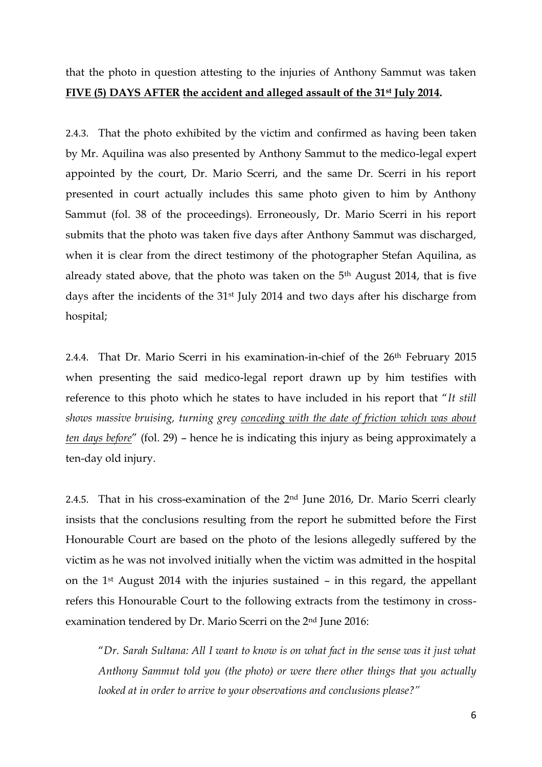that the photo in question attesting to the injuries of Anthony Sammut was taken **FIVE (5) DAYS AFTER the accident and alleged assault of the 31st July 2014.**

2.4.3. That the photo exhibited by the victim and confirmed as having been taken by Mr. Aquilina was also presented by Anthony Sammut to the medico-legal expert appointed by the court, Dr. Mario Scerri, and the same Dr. Scerri in his report presented in court actually includes this same photo given to him by Anthony Sammut (fol. 38 of the proceedings). Erroneously, Dr. Mario Scerri in his report submits that the photo was taken five days after Anthony Sammut was discharged, when it is clear from the direct testimony of the photographer Stefan Aquilina, as already stated above, that the photo was taken on the 5th August 2014, that is five days after the incidents of the 31st July 2014 and two days after his discharge from hospital;

2.4.4. That Dr. Mario Scerri in his examination-in-chief of the 26<sup>th</sup> February 2015 when presenting the said medico-legal report drawn up by him testifies with reference to this photo which he states to have included in his report that "*It still shows massive bruising, turning grey conceding with the date of friction which was about ten days before*" (fol. 29) – hence he is indicating this injury as being approximately a ten-day old injury.

2.4.5. That in his cross-examination of the 2nd June 2016, Dr. Mario Scerri clearly insists that the conclusions resulting from the report he submitted before the First Honourable Court are based on the photo of the lesions allegedly suffered by the victim as he was not involved initially when the victim was admitted in the hospital on the 1st August 2014 with the injuries sustained – in this regard, the appellant refers this Honourable Court to the following extracts from the testimony in crossexamination tendered by Dr. Mario Scerri on the 2nd June 2016:

"*Dr. Sarah Sultana: All I want to know is on what fact in the sense was it just what Anthony Sammut told you (the photo) or were there other things that you actually looked at in order to arrive to your observations and conclusions please?"*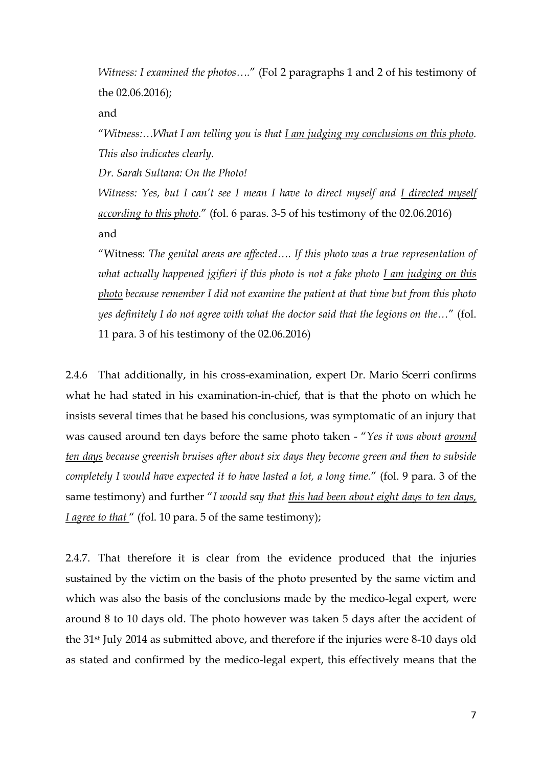*Witness: I examined the photos….*" (Fol 2 paragraphs 1 and 2 of his testimony of the 02.06.2016);

and

"*Witness:…What I am telling you is that I am judging my conclusions on this photo. This also indicates clearly.*

*Dr. Sarah Sultana: On the Photo!*

*Witness: Yes, but I can't see I mean I have to direct myself and <u>I directed myself</u> according to this photo.*" (fol. 6 paras. 3-5 of his testimony of the 02.06.2016) and

"Witness: *The genital areas are affected…. If this photo was a true representation of what actually happened jgifieri if this photo is not a fake photo I am judging on this photo because remember I did not examine the patient at that time but from this photo yes definitely I do not agree with what the doctor said that the legions on the…*" (fol. 11 para. 3 of his testimony of the 02.06.2016)

2.4.6 That additionally, in his cross-examination, expert Dr. Mario Scerri confirms what he had stated in his examination-in-chief, that is that the photo on which he insists several times that he based his conclusions, was symptomatic of an injury that was caused around ten days before the same photo taken - "*Yes it was about around ten days because greenish bruises after about six days they become green and then to subside completely I would have expected it to have lasted a lot, a long time.*" (fol. 9 para. 3 of the same testimony) and further "*I would say that this had been about eight days to ten days, I agree to that* " (fol. 10 para. 5 of the same testimony);

2.4.7. That therefore it is clear from the evidence produced that the injuries sustained by the victim on the basis of the photo presented by the same victim and which was also the basis of the conclusions made by the medico-legal expert, were around 8 to 10 days old. The photo however was taken 5 days after the accident of the 31st July 2014 as submitted above, and therefore if the injuries were 8-10 days old as stated and confirmed by the medico-legal expert, this effectively means that the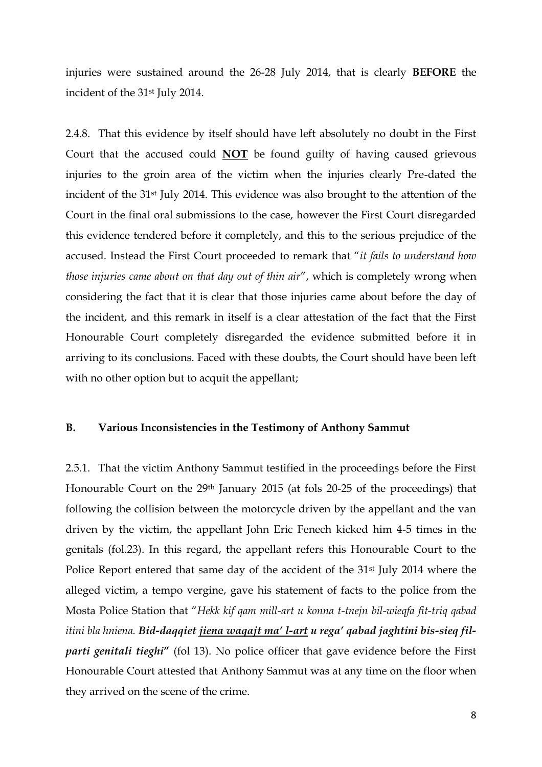injuries were sustained around the 26-28 July 2014, that is clearly **BEFORE** the incident of the 31st July 2014.

2.4.8. That this evidence by itself should have left absolutely no doubt in the First Court that the accused could **NOT** be found guilty of having caused grievous injuries to the groin area of the victim when the injuries clearly Pre-dated the incident of the 31st July 2014. This evidence was also brought to the attention of the Court in the final oral submissions to the case, however the First Court disregarded this evidence tendered before it completely, and this to the serious prejudice of the accused. Instead the First Court proceeded to remark that "*it fails to understand how those injuries came about on that day out of thin air*", which is completely wrong when considering the fact that it is clear that those injuries came about before the day of the incident, and this remark in itself is a clear attestation of the fact that the First Honourable Court completely disregarded the evidence submitted before it in arriving to its conclusions. Faced with these doubts, the Court should have been left with no other option but to acquit the appellant;

### **B. Various Inconsistencies in the Testimony of Anthony Sammut**

2.5.1. That the victim Anthony Sammut testified in the proceedings before the First Honourable Court on the 29<sup>th</sup> January 2015 (at fols 20-25 of the proceedings) that following the collision between the motorcycle driven by the appellant and the van driven by the victim, the appellant John Eric Fenech kicked him 4-5 times in the genitals (fol.23). In this regard, the appellant refers this Honourable Court to the Police Report entered that same day of the accident of the 31<sup>st</sup> July 2014 where the alleged victim, a tempo vergine, gave his statement of facts to the police from the Mosta Police Station that "*Hekk kif qam mill-art u konna t-tnejn bil-wieqfa fit-triq qabad itini bla hniena. Bid-daqqiet jiena waqajt ma' l-art u rega' qabad jaghtini bis-sieq filparti genitali tieghi***"** (fol 13). No police officer that gave evidence before the First Honourable Court attested that Anthony Sammut was at any time on the floor when they arrived on the scene of the crime.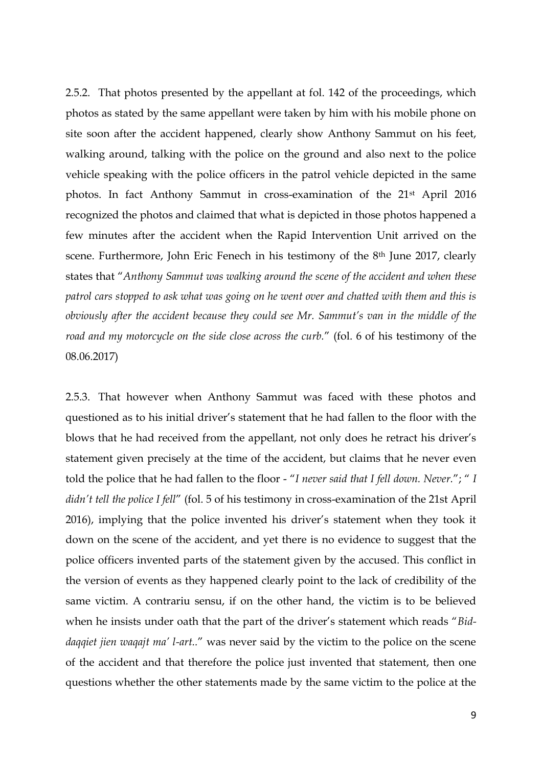2.5.2. That photos presented by the appellant at fol. 142 of the proceedings, which photos as stated by the same appellant were taken by him with his mobile phone on site soon after the accident happened, clearly show Anthony Sammut on his feet, walking around, talking with the police on the ground and also next to the police vehicle speaking with the police officers in the patrol vehicle depicted in the same photos. In fact Anthony Sammut in cross-examination of the 21st April 2016 recognized the photos and claimed that what is depicted in those photos happened a few minutes after the accident when the Rapid Intervention Unit arrived on the scene. Furthermore, John Eric Fenech in his testimony of the 8<sup>th</sup> June 2017, clearly states that "*Anthony Sammut was walking around the scene of the accident and when these patrol cars stopped to ask what was going on he went over and chatted with them and this is obviously after the accident because they could see Mr. Sammut's van in the middle of the road and my motorcycle on the side close across the curb.*" (fol. 6 of his testimony of the 08.06.2017)

2.5.3. That however when Anthony Sammut was faced with these photos and questioned as to his initial driver's statement that he had fallen to the floor with the blows that he had received from the appellant, not only does he retract his driver's statement given precisely at the time of the accident, but claims that he never even told the police that he had fallen to the floor - "*I never said that I fell down. Never.*"; " *I didn't tell the police I fell*" (fol. 5 of his testimony in cross-examination of the 21st April 2016), implying that the police invented his driver's statement when they took it down on the scene of the accident, and yet there is no evidence to suggest that the police officers invented parts of the statement given by the accused. This conflict in the version of events as they happened clearly point to the lack of credibility of the same victim. A contrariu sensu, if on the other hand, the victim is to be believed when he insists under oath that the part of the driver's statement which reads "*Biddaqqiet jien waqajt ma' l-art..*" was never said by the victim to the police on the scene of the accident and that therefore the police just invented that statement, then one questions whether the other statements made by the same victim to the police at the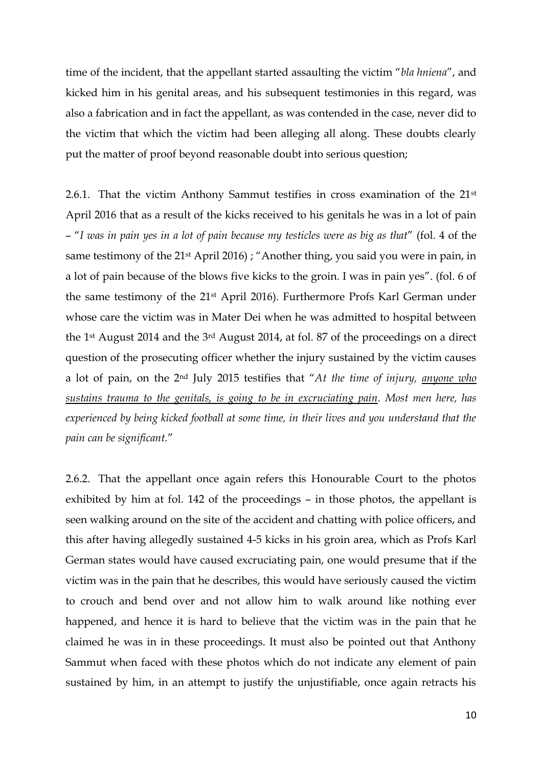time of the incident, that the appellant started assaulting the victim "*bla hniena*", and kicked him in his genital areas, and his subsequent testimonies in this regard, was also a fabrication and in fact the appellant, as was contended in the case, never did to the victim that which the victim had been alleging all along. These doubts clearly put the matter of proof beyond reasonable doubt into serious question;

2.6.1. That the victim Anthony Sammut testifies in cross examination of the 21st April 2016 that as a result of the kicks received to his genitals he was in a lot of pain – "*I was in pain yes in a lot of pain because my testicles were as big as that*" (fol. 4 of the same testimony of the 21<sup>st</sup> April 2016); "Another thing, you said you were in pain, in a lot of pain because of the blows five kicks to the groin. I was in pain yes". (fol. 6 of the same testimony of the 21st April 2016). Furthermore Profs Karl German under whose care the victim was in Mater Dei when he was admitted to hospital between the 1st August 2014 and the 3rd August 2014, at fol. 87 of the proceedings on a direct question of the prosecuting officer whether the injury sustained by the victim causes a lot of pain, on the 2nd July 2015 testifies that "*At the time of injury, anyone who sustains trauma to the genitals, is going to be in excruciating pain. Most men here, has experienced by being kicked football at some time, in their lives and you understand that the pain can be significant.*"

2.6.2. That the appellant once again refers this Honourable Court to the photos exhibited by him at fol. 142 of the proceedings – in those photos, the appellant is seen walking around on the site of the accident and chatting with police officers, and this after having allegedly sustained 4-5 kicks in his groin area, which as Profs Karl German states would have caused excruciating pain, one would presume that if the victim was in the pain that he describes, this would have seriously caused the victim to crouch and bend over and not allow him to walk around like nothing ever happened, and hence it is hard to believe that the victim was in the pain that he claimed he was in in these proceedings. It must also be pointed out that Anthony Sammut when faced with these photos which do not indicate any element of pain sustained by him, in an attempt to justify the unjustifiable, once again retracts his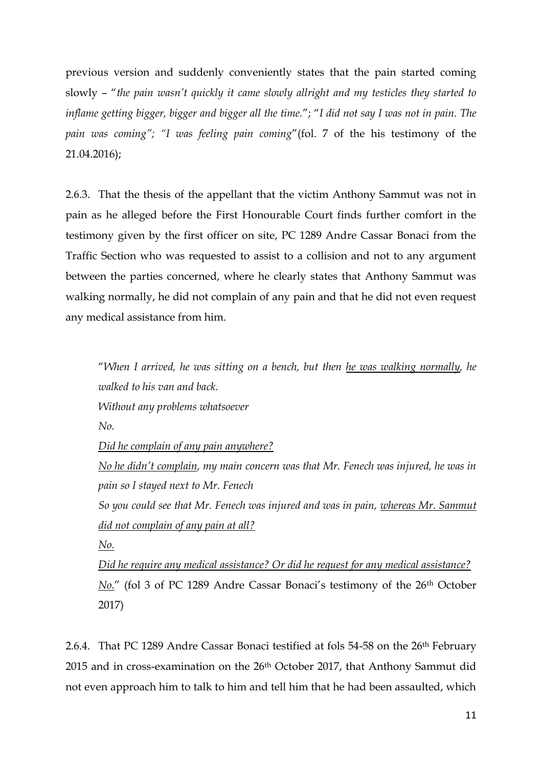previous version and suddenly conveniently states that the pain started coming slowly – "*the pain wasn't quickly it came slowly allright and my testicles they started to inflame getting bigger, bigger and bigger all the time.*"; "*I did not say I was not in pain. The pain was coming"; "I was feeling pain coming*"(fol. 7 of the his testimony of the 21.04.2016);

2.6.3. That the thesis of the appellant that the victim Anthony Sammut was not in pain as he alleged before the First Honourable Court finds further comfort in the testimony given by the first officer on site, PC 1289 Andre Cassar Bonaci from the Traffic Section who was requested to assist to a collision and not to any argument between the parties concerned, where he clearly states that Anthony Sammut was walking normally, he did not complain of any pain and that he did not even request any medical assistance from him.

"*When I arrived, he was sitting on a bench, but then he was walking normally, he walked to his van and back.*

*Without any problems whatsoever*

*No.*

*Did he complain of any pain anywhere?*

*No he didn't complain, my main concern was that Mr. Fenech was injured, he was in pain so I stayed next to Mr. Fenech*

*So you could see that Mr. Fenech was injured and was in pain, whereas Mr. Sammut did not complain of any pain at all?*

*No.*

*Did he require any medical assistance? Or did he request for any medical assistance? No."* (fol 3 of PC 1289 Andre Cassar Bonaci's testimony of the 26<sup>th</sup> October 2017)

2.6.4. That PC 1289 Andre Cassar Bonaci testified at fols 54-58 on the 26<sup>th</sup> February 2015 and in cross-examination on the 26<sup>th</sup> October 2017, that Anthony Sammut did not even approach him to talk to him and tell him that he had been assaulted, which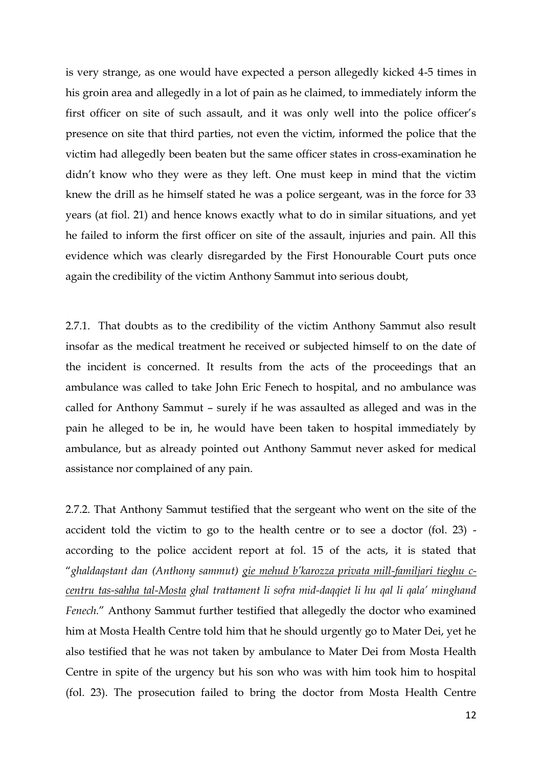is very strange, as one would have expected a person allegedly kicked 4-5 times in his groin area and allegedly in a lot of pain as he claimed, to immediately inform the first officer on site of such assault, and it was only well into the police officer's presence on site that third parties, not even the victim, informed the police that the victim had allegedly been beaten but the same officer states in cross-examination he didn't know who they were as they left. One must keep in mind that the victim knew the drill as he himself stated he was a police sergeant, was in the force for 33 years (at fiol. 21) and hence knows exactly what to do in similar situations, and yet he failed to inform the first officer on site of the assault, injuries and pain. All this evidence which was clearly disregarded by the First Honourable Court puts once again the credibility of the victim Anthony Sammut into serious doubt,

2.7.1. That doubts as to the credibility of the victim Anthony Sammut also result insofar as the medical treatment he received or subjected himself to on the date of the incident is concerned. It results from the acts of the proceedings that an ambulance was called to take John Eric Fenech to hospital, and no ambulance was called for Anthony Sammut – surely if he was assaulted as alleged and was in the pain he alleged to be in, he would have been taken to hospital immediately by ambulance, but as already pointed out Anthony Sammut never asked for medical assistance nor complained of any pain.

2.7.2. That Anthony Sammut testified that the sergeant who went on the site of the accident told the victim to go to the health centre or to see a doctor (fol. 23) according to the police accident report at fol. 15 of the acts, it is stated that "*ghaldaqstant dan (Anthony sammut) gie mehud b'karozza privata mill-familjari tieghu ccentru tas-sahha tal-Mosta ghal trattament li sofra mid-daqqiet li hu qal li qala' minghand Fenech.*" Anthony Sammut further testified that allegedly the doctor who examined him at Mosta Health Centre told him that he should urgently go to Mater Dei, yet he also testified that he was not taken by ambulance to Mater Dei from Mosta Health Centre in spite of the urgency but his son who was with him took him to hospital (fol. 23). The prosecution failed to bring the doctor from Mosta Health Centre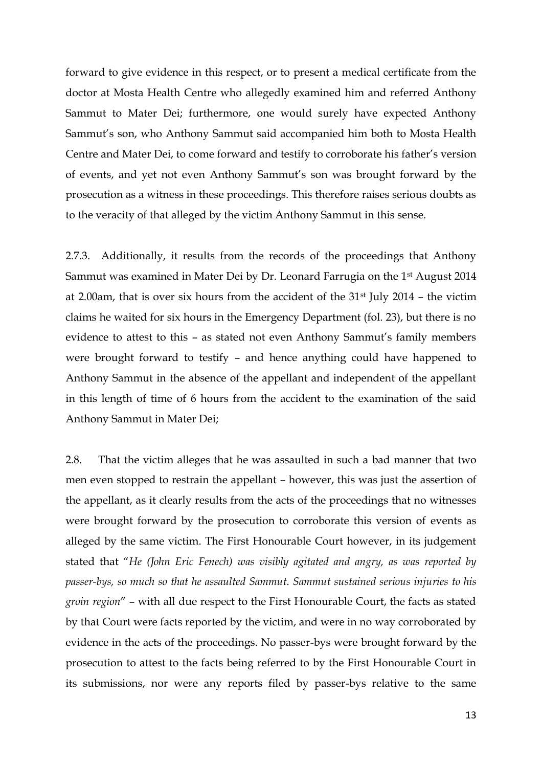forward to give evidence in this respect, or to present a medical certificate from the doctor at Mosta Health Centre who allegedly examined him and referred Anthony Sammut to Mater Dei; furthermore, one would surely have expected Anthony Sammut's son, who Anthony Sammut said accompanied him both to Mosta Health Centre and Mater Dei, to come forward and testify to corroborate his father's version of events, and yet not even Anthony Sammut's son was brought forward by the prosecution as a witness in these proceedings. This therefore raises serious doubts as to the veracity of that alleged by the victim Anthony Sammut in this sense.

2.7.3. Additionally, it results from the records of the proceedings that Anthony Sammut was examined in Mater Dei by Dr. Leonard Farrugia on the 1st August 2014 at 2.00am, that is over six hours from the accident of the 31st July 2014 – the victim claims he waited for six hours in the Emergency Department (fol. 23), but there is no evidence to attest to this – as stated not even Anthony Sammut's family members were brought forward to testify – and hence anything could have happened to Anthony Sammut in the absence of the appellant and independent of the appellant in this length of time of 6 hours from the accident to the examination of the said Anthony Sammut in Mater Dei;

2.8. That the victim alleges that he was assaulted in such a bad manner that two men even stopped to restrain the appellant – however, this was just the assertion of the appellant, as it clearly results from the acts of the proceedings that no witnesses were brought forward by the prosecution to corroborate this version of events as alleged by the same victim. The First Honourable Court however, in its judgement stated that "*He (John Eric Fenech) was visibly agitated and angry, as was reported by passer-bys, so much so that he assaulted Sammut. Sammut sustained serious injuries to his groin region*" – with all due respect to the First Honourable Court, the facts as stated by that Court were facts reported by the victim, and were in no way corroborated by evidence in the acts of the proceedings. No passer-bys were brought forward by the prosecution to attest to the facts being referred to by the First Honourable Court in its submissions, nor were any reports filed by passer-bys relative to the same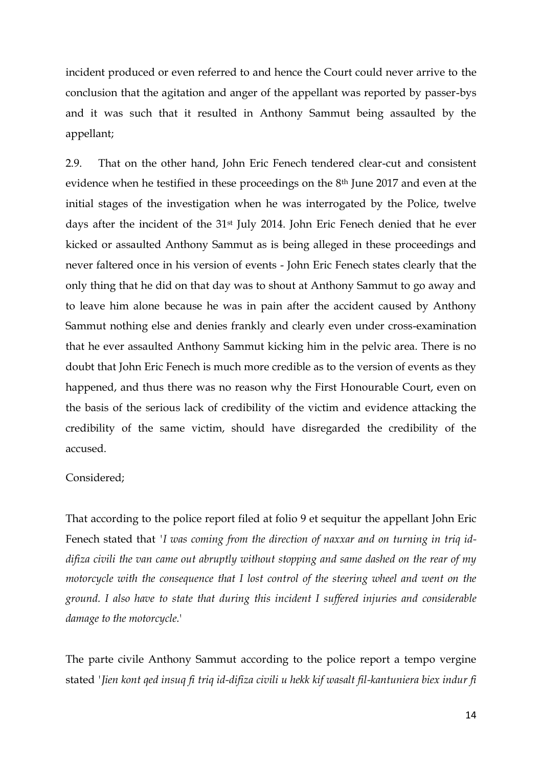incident produced or even referred to and hence the Court could never arrive to the conclusion that the agitation and anger of the appellant was reported by passer-bys and it was such that it resulted in Anthony Sammut being assaulted by the appellant;

2.9. That on the other hand, John Eric Fenech tendered clear-cut and consistent evidence when he testified in these proceedings on the 8th June 2017 and even at the initial stages of the investigation when he was interrogated by the Police, twelve days after the incident of the 31st July 2014. John Eric Fenech denied that he ever kicked or assaulted Anthony Sammut as is being alleged in these proceedings and never faltered once in his version of events - John Eric Fenech states clearly that the only thing that he did on that day was to shout at Anthony Sammut to go away and to leave him alone because he was in pain after the accident caused by Anthony Sammut nothing else and denies frankly and clearly even under cross-examination that he ever assaulted Anthony Sammut kicking him in the pelvic area. There is no doubt that John Eric Fenech is much more credible as to the version of events as they happened, and thus there was no reason why the First Honourable Court, even on the basis of the serious lack of credibility of the victim and evidence attacking the credibility of the same victim, should have disregarded the credibility of the accused.

#### Considered;

That according to the police report filed at folio 9 et sequitur the appellant John Eric Fenech stated that *'I was coming from the direction of naxxar and on turning in triq iddifiza civili the van came out abruptly without stopping and same dashed on the rear of my motorcycle with the consequence that I lost control of the steering wheel and went on the ground. I also have to state that during this incident I suffered injuries and considerable damage to the motorcycle.*'

The parte civile Anthony Sammut according to the police report a tempo vergine stated *'Jien kont qed insuq fi triq id-difiza civili u hekk kif wasalt fil-kantuniera biex indur fi*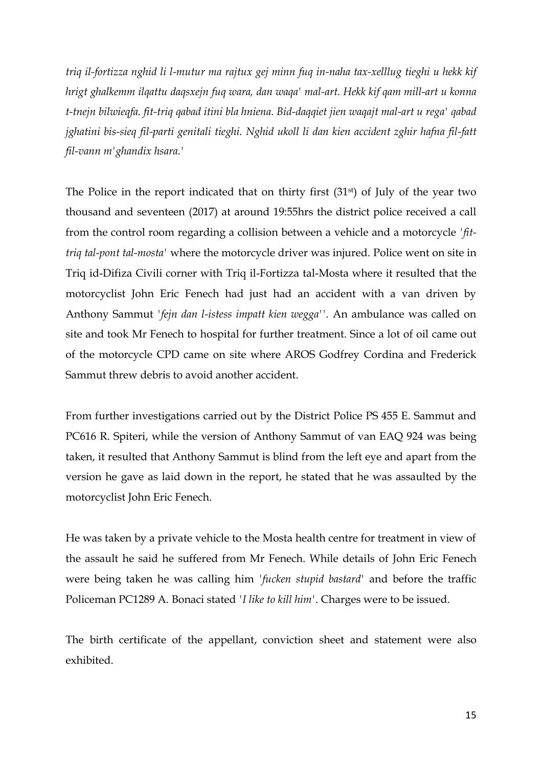*triq il-fortizza nghid li l-mutur ma rajtux gej minn fuq in-naha tax-xelllug tieghi u hekk kif hrigt ghalkemm ilqattu daqsxejn fuq wara, dan waqa' mal-art. Hekk kif qam mill-art u konna t-tnejn bilwieqfa. fit-triq qabad itini bla hniena. Bid-daqqiet jien waqajt mal-art u rega' qabad jghatini bis-sieq fil-parti genitali tieghi. Nghid ukoll li dan kien accident zghir hafna fil-fatt fil-vann m'ghandix hsara.'*

The Police in the report indicated that on thirty first (31<sup>st</sup>) of July of the year two thousand and seventeen (2017) at around 19:55hrs the district police received a call from the control room regarding a collision between a vehicle and a motorcycle *'fittriq tal-pont tal-mosta'* where the motorcycle driver was injured. Police went on site in Triq id-Difiza Civili corner with Triq il-Fortizza tal-Mosta where it resulted that the motorcyclist John Eric Fenech had just had an accident with a van driven by Anthony Sammut *'fejn dan l-istess impatt kien wegga''.* An ambulance was called on site and took Mr Fenech to hospital for further treatment. Since a lot of oil came out of the motorcycle CPD came on site where AROS Godfrey Cordina and Frederick Sammut threw debris to avoid another accident.

From further investigations carried out by the District Police PS 455 E. Sammut and PC616 R. Spiteri, while the version of Anthony Sammut of van EAQ 924 was being taken, it resulted that Anthony Sammut is blind from the left eye and apart from the version he gave as laid down in the report, he stated that he was assaulted by the motorcyclist John Eric Fenech.

He was taken by a private vehicle to the Mosta health centre for treatment in view of the assault he said he suffered from Mr Fenech. While details of John Eric Fenech were being taken he was calling him *'fucken stupid bastard'* and before the traffic Policeman PC1289 A. Bonaci stated *'I like to kill him'*. Charges were to be issued.

The birth certificate of the appellant, conviction sheet and statement were also exhibited.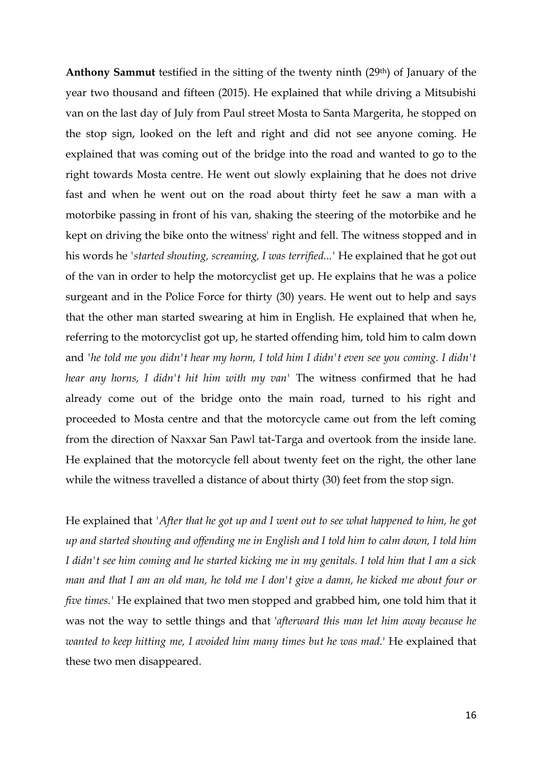**Anthony Sammut** testified in the sitting of the twenty ninth (29th) of January of the year two thousand and fifteen (2015). He explained that while driving a Mitsubishi van on the last day of July from Paul street Mosta to Santa Margerita, he stopped on the stop sign, looked on the left and right and did not see anyone coming. He explained that was coming out of the bridge into the road and wanted to go to the right towards Mosta centre. He went out slowly explaining that he does not drive fast and when he went out on the road about thirty feet he saw a man with a motorbike passing in front of his van, shaking the steering of the motorbike and he kept on driving the bike onto the witness' right and fell. The witness stopped and in his words he *'started shouting, screaming, I was terrified...'* He explained that he got out of the van in order to help the motorcyclist get up. He explains that he was a police surgeant and in the Police Force for thirty (30) years. He went out to help and says that the other man started swearing at him in English. He explained that when he, referring to the motorcyclist got up, he started offending him, told him to calm down and *'he told me you didn't hear my horm, I told him I didn't even see you coming. I didn't hear any horns, I didn't hit him with my van'* The witness confirmed that he had already come out of the bridge onto the main road, turned to his right and proceeded to Mosta centre and that the motorcycle came out from the left coming from the direction of Naxxar San Pawl tat-Targa and overtook from the inside lane. He explained that the motorcycle fell about twenty feet on the right, the other lane while the witness travelled a distance of about thirty (30) feet from the stop sign.

He explained that *'After that he got up and I went out to see what happened to him, he got up and started shouting and offending me in English and I told him to calm down, I told him I didn't see him coming and he started kicking me in my genitals. I told him that I am a sick man and that I am an old man, he told me I don't give a damn, he kicked me about four or five times.'* He explained that two men stopped and grabbed him, one told him that it was not the way to settle things and that '*afterward this man let him away because he wanted to keep hitting me, I avoided him many times but he was mad.*' He explained that these two men disappeared.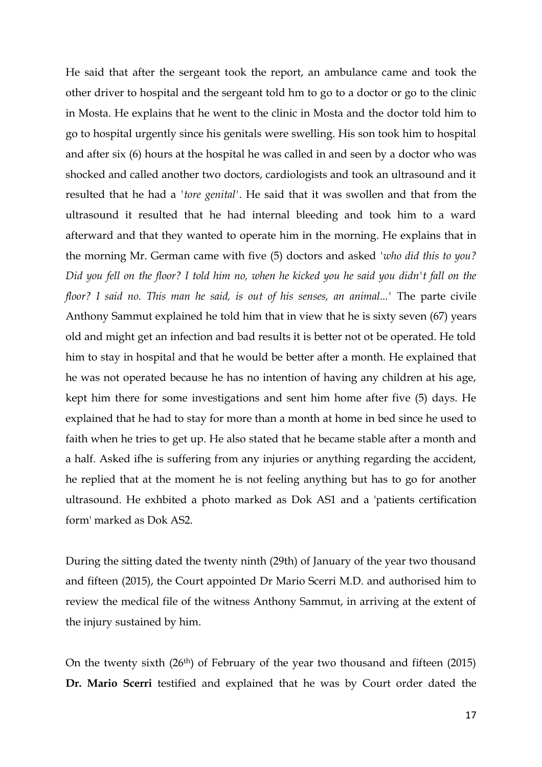He said that after the sergeant took the report, an ambulance came and took the other driver to hospital and the sergeant told hm to go to a doctor or go to the clinic in Mosta. He explains that he went to the clinic in Mosta and the doctor told him to go to hospital urgently since his genitals were swelling. His son took him to hospital and after six (6) hours at the hospital he was called in and seen by a doctor who was shocked and called another two doctors, cardiologists and took an ultrasound and it resulted that he had a *'tore genital'*. He said that it was swollen and that from the ultrasound it resulted that he had internal bleeding and took him to a ward afterward and that they wanted to operate him in the morning. He explains that in the morning Mr. German came with five (5) doctors and asked *'who did this to you? Did you fell on the floor? I told him no, when he kicked you he said you didn't fall on the floor? I said no. This man he said, is out of his senses, an animal...'* The parte civile Anthony Sammut explained he told him that in view that he is sixty seven (67) years old and might get an infection and bad results it is better not ot be operated. He told him to stay in hospital and that he would be better after a month. He explained that he was not operated because he has no intention of having any children at his age, kept him there for some investigations and sent him home after five (5) days. He explained that he had to stay for more than a month at home in bed since he used to faith when he tries to get up. He also stated that he became stable after a month and a half. Asked ifhe is suffering from any injuries or anything regarding the accident, he replied that at the moment he is not feeling anything but has to go for another ultrasound. He exhbited a photo marked as Dok AS1 and a 'patients certification form' marked as Dok AS2.

During the sitting dated the twenty ninth (29th) of January of the year two thousand and fifteen (2015), the Court appointed Dr Mario Scerri M.D. and authorised him to review the medical file of the witness Anthony Sammut, in arriving at the extent of the injury sustained by him.

On the twenty sixth (26<sup>th</sup>) of February of the year two thousand and fifteen (2015) **Dr. Mario Scerri** testified and explained that he was by Court order dated the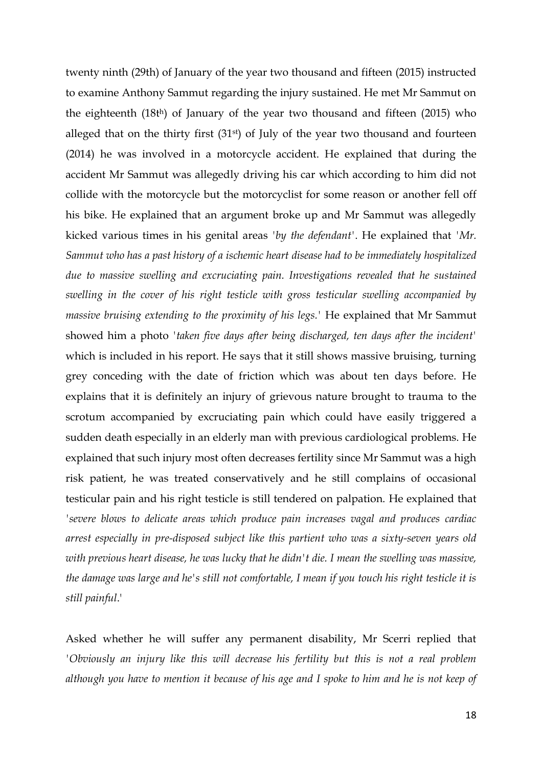twenty ninth (29th) of January of the year two thousand and fifteen (2015) instructed to examine Anthony Sammut regarding the injury sustained. He met Mr Sammut on the eighteenth (18th) of January of the year two thousand and fifteen (2015) who alleged that on the thirty first (31st) of July of the year two thousand and fourteen (2014) he was involved in a motorcycle accident. He explained that during the accident Mr Sammut was allegedly driving his car which according to him did not collide with the motorcycle but the motorcyclist for some reason or another fell off his bike. He explained that an argument broke up and Mr Sammut was allegedly kicked various times in his genital areas *'by the defendant'*. He explained that *'Mr. Sammut who has a past history of a ischemic heart disease had to be immediately hospitalized due to massive swelling and excruciating pain. Investigations revealed that he sustained swelling in the cover of his right testicle with gross testicular swelling accompanied by massive bruising extending to the proximity of his legs.'* He explained that Mr Sammut showed him a photo *'taken five days after being discharged, ten days after the incident'*  which is included in his report. He says that it still shows massive bruising, turning grey conceding with the date of friction which was about ten days before. He explains that it is definitely an injury of grievous nature brought to trauma to the scrotum accompanied by excruciating pain which could have easily triggered a sudden death especially in an elderly man with previous cardiological problems. He explained that such injury most often decreases fertility since Mr Sammut was a high risk patient, he was treated conservatively and he still complains of occasional testicular pain and his right testicle is still tendered on palpation. He explained that *'severe blows to delicate areas which produce pain increases vagal and produces cardiac arrest especially in pre-disposed subject like this partient who was a sixty-seven years old with previous heart disease, he was lucky that he didn't die. I mean the swelling was massive, the damage was large and he's still not comfortable, I mean if you touch his right testicle it is still painful*.'

Asked whether he will suffer any permanent disability, Mr Scerri replied that *'Obviously an injury like this will decrease his fertility but this is not a real problem although you have to mention it because of his age and I spoke to him and he is not keep of*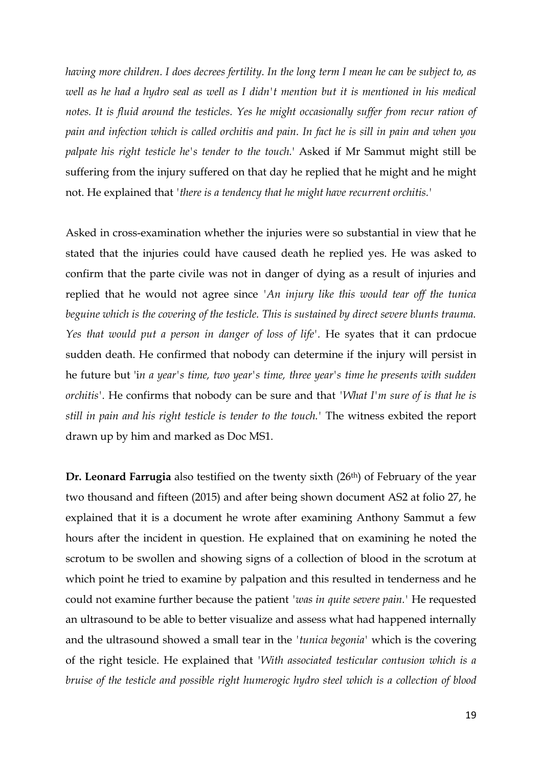*having more children. I does decrees fertility. In the long term I mean he can be subject to, as well as he had a hydro seal as well as I didn't mention but it is mentioned in his medical notes. It is fluid around the testicles. Yes he might occasionally suffer from recur ration of pain and infection which is called orchitis and pain. In fact he is sill in pain and when you palpate his right testicle he's tender to the touch.*' Asked if Mr Sammut might still be suffering from the injury suffered on that day he replied that he might and he might not. He explained that *'there is a tendency that he might have recurrent orchitis.'*

Asked in cross-examination whether the injuries were so substantial in view that he stated that the injuries could have caused death he replied yes. He was asked to confirm that the parte civile was not in danger of dying as a result of injuries and replied that he would not agree since *'An injury like this would tear off the tunica beguine which is the covering of the testicle. This is sustained by direct severe blunts trauma. Yes that would put a person in danger of loss of life'.* He syates that it can prdocue sudden death. He confirmed that nobody can determine if the injury will persist in he future but 'i*n a year's time, two year's time, three year's time he presents with sudden orchitis'.* He confirms that nobody can be sure and that *'What I'm sure of is that he is still in pain and his right testicle is tender to the touch.'* The witness exbited the report drawn up by him and marked as Doc MS1.

**Dr. Leonard Farrugia** also testified on the twenty sixth (26th) of February of the year two thousand and fifteen (2015) and after being shown document AS2 at folio 27, he explained that it is a document he wrote after examining Anthony Sammut a few hours after the incident in question. He explained that on examining he noted the scrotum to be swollen and showing signs of a collection of blood in the scrotum at which point he tried to examine by palpation and this resulted in tenderness and he could not examine further because the patient *'was in quite severe pain.'* He requested an ultrasound to be able to better visualize and assess what had happened internally and the ultrasound showed a small tear in the *'tunica begonia'* which is the covering of the right tesicle. He explained that *'With associated testicular contusion which is a bruise of the testicle and possible right humerogic hydro steel which is a collection of blood*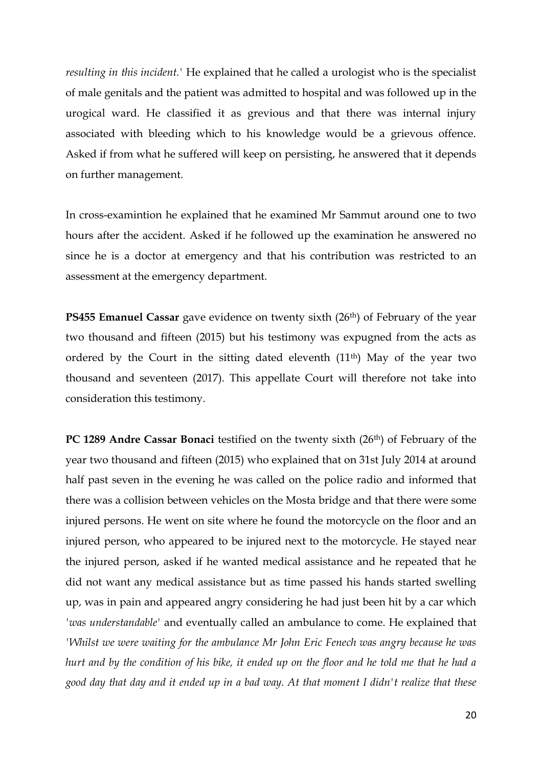*resulting in this incident.'* He explained that he called a urologist who is the specialist of male genitals and the patient was admitted to hospital and was followed up in the urogical ward. He classified it as grevious and that there was internal injury associated with bleeding which to his knowledge would be a grievous offence. Asked if from what he suffered will keep on persisting, he answered that it depends on further management.

In cross-examintion he explained that he examined Mr Sammut around one to two hours after the accident. Asked if he followed up the examination he answered no since he is a doctor at emergency and that his contribution was restricted to an assessment at the emergency department.

**PS455 Emanuel Cassar** gave evidence on twenty sixth (26<sup>th</sup>) of February of the year two thousand and fifteen (2015) but his testimony was expugned from the acts as ordered by the Court in the sitting dated eleventh  $(11<sup>th</sup>)$  May of the year two thousand and seventeen (2017). This appellate Court will therefore not take into consideration this testimony.

**PC 1289 Andre Cassar Bonaci** testified on the twenty sixth (26<sup>th</sup>) of February of the year two thousand and fifteen (2015) who explained that on 31st July 2014 at around half past seven in the evening he was called on the police radio and informed that there was a collision between vehicles on the Mosta bridge and that there were some injured persons. He went on site where he found the motorcycle on the floor and an injured person, who appeared to be injured next to the motorcycle. He stayed near the injured person, asked if he wanted medical assistance and he repeated that he did not want any medical assistance but as time passed his hands started swelling up, was in pain and appeared angry considering he had just been hit by a car which *'was understandable'* and eventually called an ambulance to come. He explained that *'Whilst we were waiting for the ambulance Mr John Eric Fenech was angry because he was hurt and by the condition of his bike, it ended up on the floor and he told me that he had a good day that day and it ended up in a bad way. At that moment I didn't realize that these*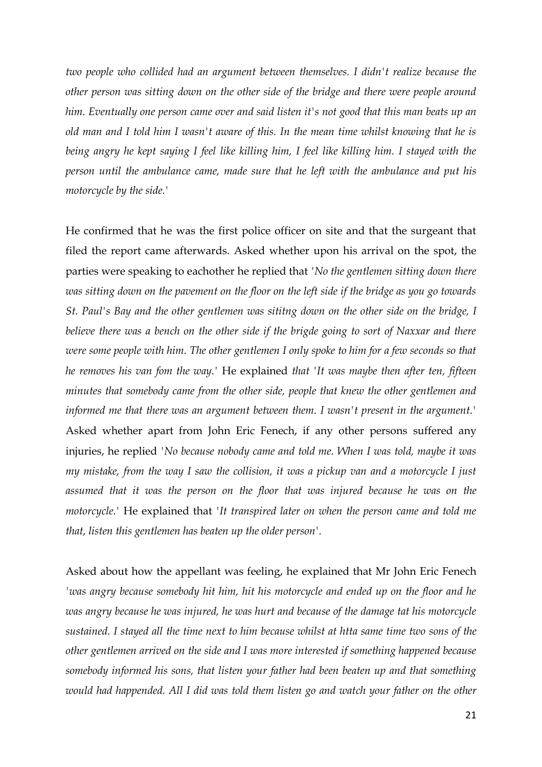*two people who collided had an argument between themselves. I didn't realize because the other person was sitting down on the other side of the bridge and there were people around him. Eventually one person came over and said listen it's not good that this man beats up an old man and I told him I wasn't aware of this. In the mean time whilst knowing that he is being angry he kept saying I feel like killing him, I feel like killing him. I stayed with the person until the ambulance came, made sure that he left with the ambulance and put his motorcycle by the side.'* 

He confirmed that he was the first police officer on site and that the surgeant that filed the report came afterwards. Asked whether upon his arrival on the spot, the parties were speaking to eachother he replied that *'No the gentlemen sitting down there was sitting down on the pavement on the floor on the left side if the bridge as you go towards St. Paul's Bay and the other gentlemen was sititng down on the other side on the bridge, I believe there was a bench on the other side if the brigde going to sort of Naxxar and there were some people with him. The other gentlemen I only spoke to him for a few seconds so that he removes his van fom the way.'* He explained *that 'It was maybe then after ten, fifteen minutes that somebody came from the other side, people that knew the other gentlemen and informed me that there was an argument between them. I wasn't present in the argument.'* Asked whether apart from John Eric Fenech, if any other persons suffered any injuries, he replied *'No because nobody came and told me. When I was told, maybe it was my mistake, from the way I saw the collision, it was a pickup van and a motorcycle I just assumed that it was the person on the floor that was injured because he was on the motorcycle.'* He explained that *'It transpired later on when the person came and told me that, listen this gentlemen has beaten up the older person'.*

Asked about how the appellant was feeling, he explained that Mr John Eric Fenech *'was angry because somebody hit him, hit his motorcycle and ended up on the floor and he was angry because he was injured, he was hurt and because of the damage tat his motorcycle sustained. I stayed all the time next to him because whilst at htta same time two sons of the other gentlemen arrived on the side and I was more interested if something happened because somebody informed his sons, that listen your father had been beaten up and that something would had happended. All I did was told them listen go and watch your father on the other*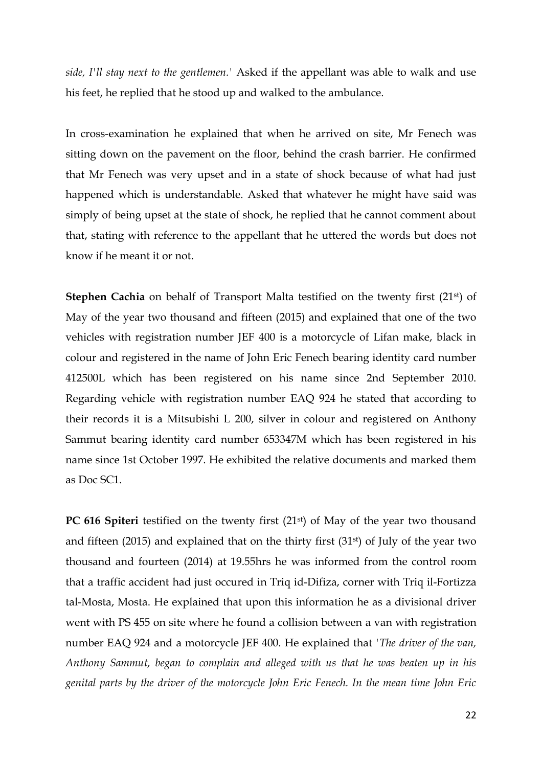*side, I'll stay next to the gentlemen.'* Asked if the appellant was able to walk and use his feet, he replied that he stood up and walked to the ambulance.

In cross-examination he explained that when he arrived on site, Mr Fenech was sitting down on the pavement on the floor, behind the crash barrier. He confirmed that Mr Fenech was very upset and in a state of shock because of what had just happened which is understandable. Asked that whatever he might have said was simply of being upset at the state of shock, he replied that he cannot comment about that, stating with reference to the appellant that he uttered the words but does not know if he meant it or not.

**Stephen Cachia** on behalf of Transport Malta testified on the twenty first (21<sup>st</sup>) of May of the year two thousand and fifteen (2015) and explained that one of the two vehicles with registration number JEF 400 is a motorcycle of Lifan make, black in colour and registered in the name of John Eric Fenech bearing identity card number 412500L which has been registered on his name since 2nd September 2010. Regarding vehicle with registration number EAQ 924 he stated that according to their records it is a Mitsubishi L 200, silver in colour and registered on Anthony Sammut bearing identity card number 653347M which has been registered in his name since 1st October 1997. He exhibited the relative documents and marked them as Doc SC1.

**PC 616 Spiteri** testified on the twenty first (21<sup>st</sup>) of May of the year two thousand and fifteen (2015) and explained that on the thirty first (31 $\mathrm{st}$ ) of July of the year two thousand and fourteen (2014) at 19.55hrs he was informed from the control room that a traffic accident had just occured in Triq id-Difiza, corner with Triq il-Fortizza tal-Mosta, Mosta. He explained that upon this information he as a divisional driver went with PS 455 on site where he found a collision between a van with registration number EAQ 924 and a motorcycle JEF 400. He explained that *'The driver of the van, Anthony Sammut, began to complain and alleged with us that he was beaten up in his genital parts by the driver of the motorcycle John Eric Fenech. In the mean time John Eric*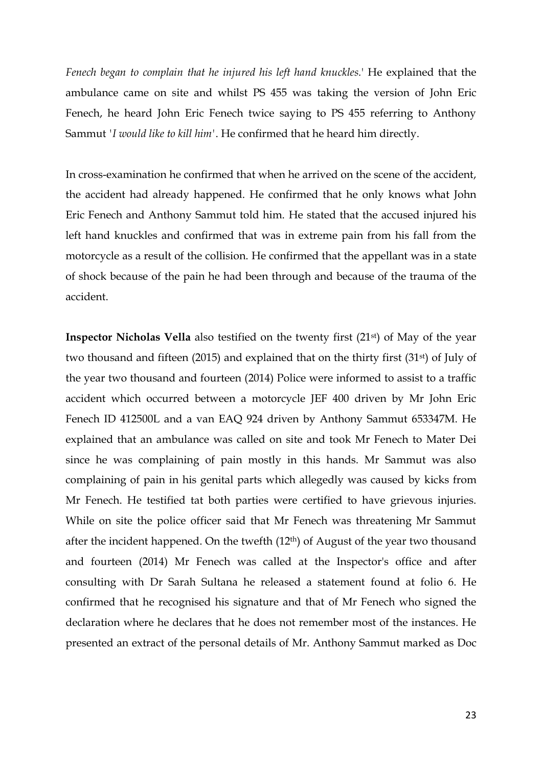*Fenech began to complain that he injured his left hand knuckles.*' He explained that the ambulance came on site and whilst PS 455 was taking the version of John Eric Fenech, he heard John Eric Fenech twice saying to PS 455 referring to Anthony Sammut *'I would like to kill him'*. He confirmed that he heard him directly.

In cross-examination he confirmed that when he arrived on the scene of the accident, the accident had already happened. He confirmed that he only knows what John Eric Fenech and Anthony Sammut told him. He stated that the accused injured his left hand knuckles and confirmed that was in extreme pain from his fall from the motorcycle as a result of the collision. He confirmed that the appellant was in a state of shock because of the pain he had been through and because of the trauma of the accident.

**Inspector Nicholas Vella** also testified on the twenty first (21<sup>st</sup>) of May of the year two thousand and fifteen (2015) and explained that on the thirty first (31st) of July of the year two thousand and fourteen (2014) Police were informed to assist to a traffic accident which occurred between a motorcycle JEF 400 driven by Mr John Eric Fenech ID 412500L and a van EAQ 924 driven by Anthony Sammut 653347M. He explained that an ambulance was called on site and took Mr Fenech to Mater Dei since he was complaining of pain mostly in this hands. Mr Sammut was also complaining of pain in his genital parts which allegedly was caused by kicks from Mr Fenech. He testified tat both parties were certified to have grievous injuries. While on site the police officer said that Mr Fenech was threatening Mr Sammut after the incident happened. On the twefth (12th) of August of the year two thousand and fourteen (2014) Mr Fenech was called at the Inspector's office and after consulting with Dr Sarah Sultana he released a statement found at folio 6. He confirmed that he recognised his signature and that of Mr Fenech who signed the declaration where he declares that he does not remember most of the instances. He presented an extract of the personal details of Mr. Anthony Sammut marked as Doc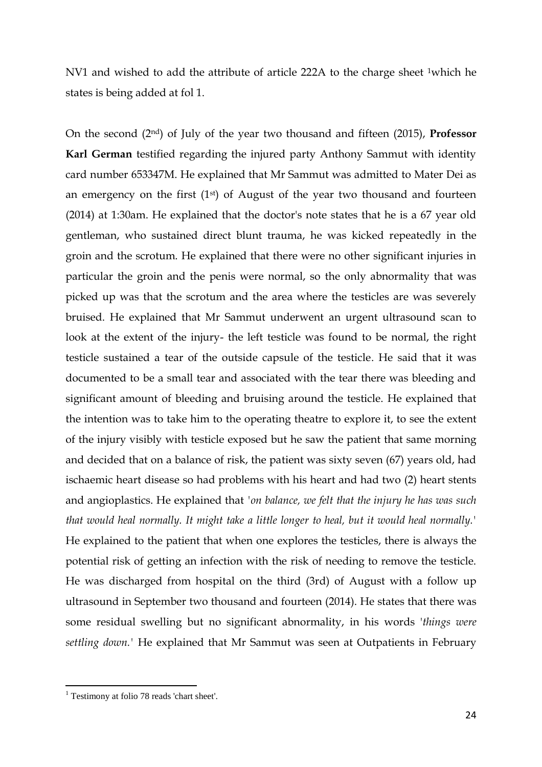NV1 and wished to add the attribute of article 222A to the charge sheet 1which he states is being added at fol 1.

On the second (2nd) of July of the year two thousand and fifteen (2015), **Professor Karl German** testified regarding the injured party Anthony Sammut with identity card number 653347M. He explained that Mr Sammut was admitted to Mater Dei as an emergency on the first  $(1<sup>st</sup>)$  of August of the year two thousand and fourteen (2014) at 1:30am. He explained that the doctor's note states that he is a 67 year old gentleman, who sustained direct blunt trauma, he was kicked repeatedly in the groin and the scrotum. He explained that there were no other significant injuries in particular the groin and the penis were normal, so the only abnormality that was picked up was that the scrotum and the area where the testicles are was severely bruised. He explained that Mr Sammut underwent an urgent ultrasound scan to look at the extent of the injury- the left testicle was found to be normal, the right testicle sustained a tear of the outside capsule of the testicle. He said that it was documented to be a small tear and associated with the tear there was bleeding and significant amount of bleeding and bruising around the testicle. He explained that the intention was to take him to the operating theatre to explore it, to see the extent of the injury visibly with testicle exposed but he saw the patient that same morning and decided that on a balance of risk, the patient was sixty seven (67) years old, had ischaemic heart disease so had problems with his heart and had two (2) heart stents and angioplastics. He explained that *'on balance, we felt that the injury he has was such that would heal normally. It might take a little longer to heal, but it would heal normally.'*  He explained to the patient that when one explores the testicles, there is always the potential risk of getting an infection with the risk of needing to remove the testicle. He was discharged from hospital on the third (3rd) of August with a follow up ultrasound in September two thousand and fourteen (2014). He states that there was some residual swelling but no significant abnormality, in his words '*things were settling down.'* He explained that Mr Sammut was seen at Outpatients in February

l

<sup>&</sup>lt;sup>1</sup> Testimony at folio 78 reads 'chart sheet'.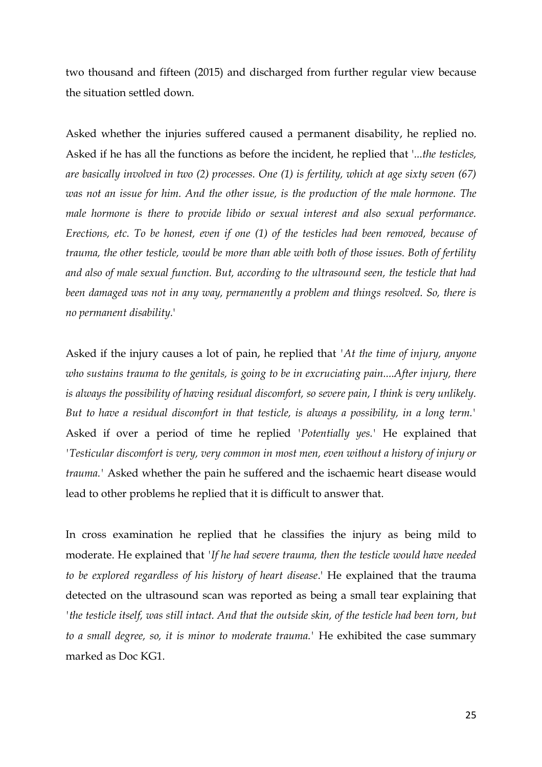two thousand and fifteen (2015) and discharged from further regular view because the situation settled down.

Asked whether the injuries suffered caused a permanent disability, he replied no. Asked if he has all the functions as before the incident, he replied that '*...the testicles, are basically involved in two (2) processes. One (1) is fertility, which at age sixty seven (67) was not an issue for him. And the other issue, is the production of the male hormone. The male hormone is there to provide libido or sexual interest and also sexual performance. Erections, etc. To be honest, even if one (1) of the testicles had been removed, because of trauma, the other testicle, would be more than able with both of those issues. Both of fertility and also of male sexual function. But, according to the ultrasound seen, the testicle that had been damaged was not in any way, permanently a problem and things resolved. So, there is no permanent disability.*'

Asked if the injury causes a lot of pain, he replied that *'At the time of injury, anyone who sustains trauma to the genitals, is going to be in excruciating pain....After injury, there is always the possibility of having residual discomfort, so severe pain, I think is very unlikely. But to have a residual discomfort in that testicle, is always a possibility, in a long term.'* Asked if over a period of time he replied *'Potentially yes.'* He explained that *'Testicular discomfort is very, very common in most men, even without a history of injury or trauma.'* Asked whether the pain he suffered and the ischaemic heart disease would lead to other problems he replied that it is difficult to answer that.

In cross examination he replied that he classifies the injury as being mild to moderate. He explained that *'If he had severe trauma, then the testicle would have needed to be explored regardless of his history of heart disease*.' He explained that the trauma detected on the ultrasound scan was reported as being a small tear explaining that *'the testicle itself, was still intact. And that the outside skin, of the testicle had been torn, but to a small degree, so, it is minor to moderate trauma.'* He exhibited the case summary marked as Doc KG1.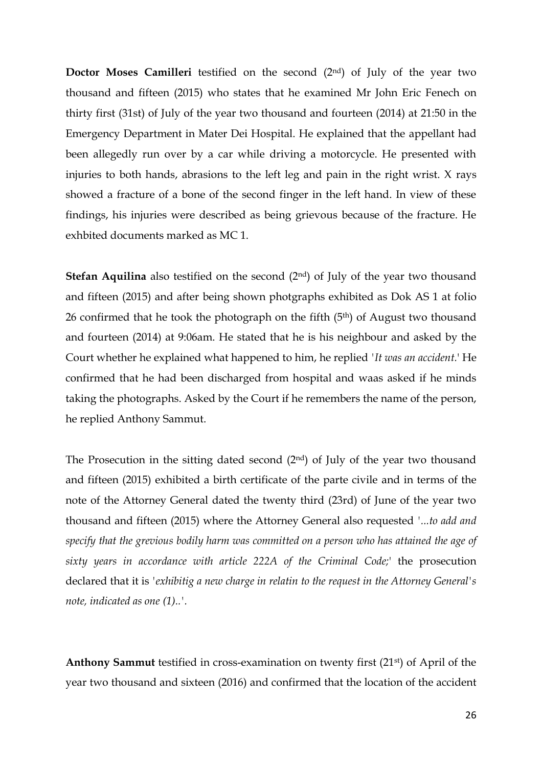**Doctor Moses Camilleri** testified on the second (2nd) of July of the year two thousand and fifteen (2015) who states that he examined Mr John Eric Fenech on thirty first (31st) of July of the year two thousand and fourteen (2014) at 21:50 in the Emergency Department in Mater Dei Hospital. He explained that the appellant had been allegedly run over by a car while driving a motorcycle. He presented with injuries to both hands, abrasions to the left leg and pain in the right wrist. X rays showed a fracture of a bone of the second finger in the left hand. In view of these findings, his injuries were described as being grievous because of the fracture. He exhbited documents marked as MC 1.

**Stefan Aquilina** also testified on the second (2<sup>nd</sup>) of July of the year two thousand and fifteen (2015) and after being shown photgraphs exhibited as Dok AS 1 at folio 26 confirmed that he took the photograph on the fifth (5th) of August two thousand and fourteen (2014) at 9:06am. He stated that he is his neighbour and asked by the Court whether he explained what happened to him, he replied *'It was an accident.*' He confirmed that he had been discharged from hospital and waas asked if he minds taking the photographs. Asked by the Court if he remembers the name of the person, he replied Anthony Sammut.

The Prosecution in the sitting dated second (2nd) of July of the year two thousand and fifteen (2015) exhibited a birth certificate of the parte civile and in terms of the note of the Attorney General dated the twenty third (23rd) of June of the year two thousand and fifteen (2015) where the Attorney General also requested *'...to add and specify that the grevious bodily harm was committed on a person who has attained the age of sixty years in accordance with article 222A of the Criminal Code;*' the prosecution declared that it is *'exhibitig a new charge in relatin to the request in the Attorney General's note, indicated as one (1)..'.*

**Anthony Sammut** testified in cross-examination on twenty first (21st) of April of the year two thousand and sixteen (2016) and confirmed that the location of the accident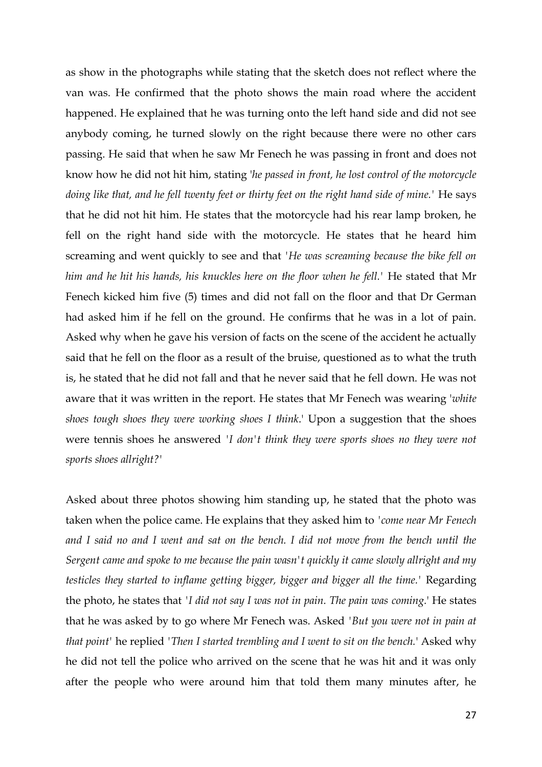as show in the photographs while stating that the sketch does not reflect where the van was. He confirmed that the photo shows the main road where the accident happened. He explained that he was turning onto the left hand side and did not see anybody coming, he turned slowly on the right because there were no other cars passing. He said that when he saw Mr Fenech he was passing in front and does not know how he did not hit him, stating '*he passed in front, he lost control of the motorcycle*  doing like that, and he fell twenty feet or thirty feet on the right hand side of mine.' He says that he did not hit him. He states that the motorcycle had his rear lamp broken, he fell on the right hand side with the motorcycle. He states that he heard him screaming and went quickly to see and that *'He was screaming because the bike fell on him and he hit his hands, his knuckles here on the floor when he fell.'* He stated that Mr Fenech kicked him five (5) times and did not fall on the floor and that Dr German had asked him if he fell on the ground. He confirms that he was in a lot of pain. Asked why when he gave his version of facts on the scene of the accident he actually said that he fell on the floor as a result of the bruise, questioned as to what the truth is, he stated that he did not fall and that he never said that he fell down. He was not aware that it was written in the report. He states that Mr Fenech was wearing '*white shoes tough shoes they were working shoes I think*.' Upon a suggestion that the shoes were tennis shoes he answered *'I don't think they were sports shoes no they were not sports shoes allright?'*

Asked about three photos showing him standing up, he stated that the photo was taken when the police came. He explains that they asked him to *'come near Mr Fenech and I said no and I went and sat on the bench. I did not move from the bench until the Sergent came and spoke to me because the pain wasn't quickly it came slowly allright and my testicles they started to inflame getting bigger, bigger and bigger all the time.'* Regarding the photo, he states that *'I did not say I was not in pain. The pain was coming.*' He states that he was asked by to go where Mr Fenech was. Asked *'But you were not in pain at that point'* he replied *'Then I started trembling and I went to sit on the bench.*' Asked why he did not tell the police who arrived on the scene that he was hit and it was only after the people who were around him that told them many minutes after, he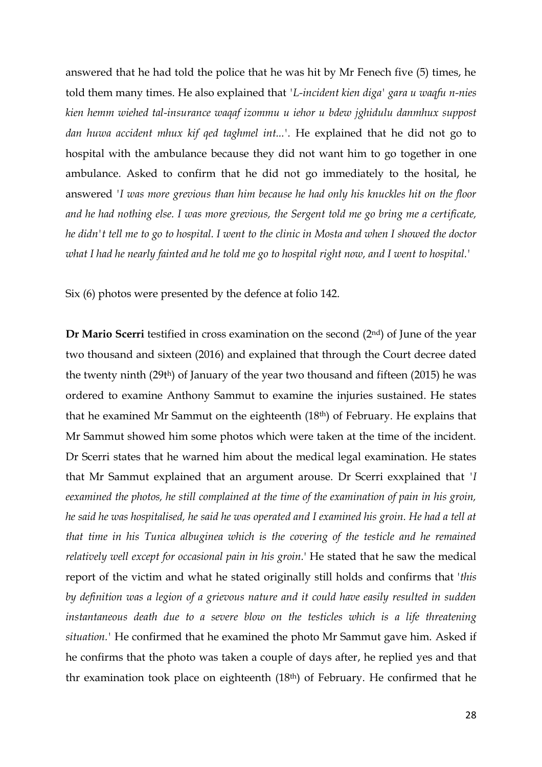answered that he had told the police that he was hit by Mr Fenech five (5) times, he told them many times. He also explained that *'L-incident kien diga' gara u waqfu n-nies kien hemm wiehed tal-insurance waqaf izommu u iehor u bdew jghidulu danmhux suppost dan huwa accident mhux kif qed taghmel int...'.* He explained that he did not go to hospital with the ambulance because they did not want him to go together in one ambulance. Asked to confirm that he did not go immediately to the hosital, he answered *'I was more grevious than him because he had only his knuckles hit on the floor and he had nothing else. I was more grevious, the Sergent told me go bring me a certificate, he didn't tell me to go to hospital. I went to the clinic in Mosta and when I showed the doctor what I had he nearly fainted and he told me go to hospital right now, and I went to hospital.'*

Six (6) photos were presented by the defence at folio 142.

**Dr Mario Scerri** testified in cross examination on the second (2<sup>nd</sup>) of June of the year two thousand and sixteen (2016) and explained that through the Court decree dated the twenty ninth (29th) of January of the year two thousand and fifteen (2015) he was ordered to examine Anthony Sammut to examine the injuries sustained. He states that he examined Mr Sammut on the eighteenth (18th) of February. He explains that Mr Sammut showed him some photos which were taken at the time of the incident. Dr Scerri states that he warned him about the medical legal examination. He states that Mr Sammut explained that an argument arouse. Dr Scerri exxplained that *'I eexamined the photos, he still complained at the time of the examination of pain in his groin, he said he was hospitalised, he said he was operated and I examined his groin. He had a tell at that time in his Tunica albuginea which is the covering of the testicle and he remained relatively well except for occasional pain in his groin.*' He stated that he saw the medical report of the victim and what he stated originally still holds and confirms that '*this by definition was a legion of a grievous nature and it could have easily resulted in sudden instantaneous death due to a severe blow on the testicles which is a life threatening situation.'* He confirmed that he examined the photo Mr Sammut gave him. Asked if he confirms that the photo was taken a couple of days after, he replied yes and that thr examination took place on eighteenth (18th) of February. He confirmed that he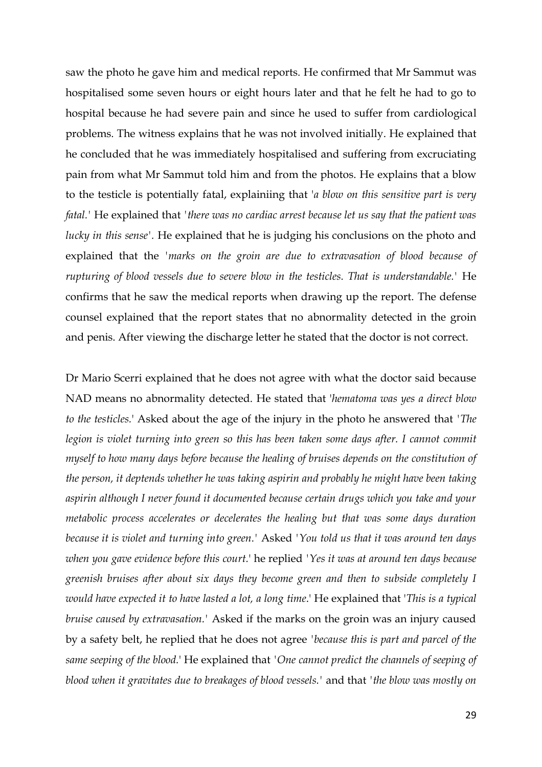saw the photo he gave him and medical reports. He confirmed that Mr Sammut was hospitalised some seven hours or eight hours later and that he felt he had to go to hospital because he had severe pain and since he used to suffer from cardiological problems. The witness explains that he was not involved initially. He explained that he concluded that he was immediately hospitalised and suffering from excruciating pain from what Mr Sammut told him and from the photos. He explains that a blow to the testicle is potentially fatal, explainiing that '*a blow on this sensitive part is very fatal.'* He explained that *'there was no cardiac arrest because let us say that the patient was lucky in this sense'.* He explained that he is judging his conclusions on the photo and explained that the *'marks on the groin are due to extravasation of blood because of rupturing of blood vessels due to severe blow in the testicles. That is understandable.'* He confirms that he saw the medical reports when drawing up the report. The defense counsel explained that the report states that no abnormality detected in the groin and penis. After viewing the discharge letter he stated that the doctor is not correct.

Dr Mario Scerri explained that he does not agree with what the doctor said because NAD means no abnormality detected. He stated that '*hematoma was yes a direct blow to the testicles.*' Asked about the age of the injury in the photo he answered that *'The legion is violet turning into green so this has been taken some days after. I cannot commit myself to how many days before because the healing of bruises depends on the constitution of the person, it deptends whether he was taking aspirin and probably he might have been taking aspirin although I never found it documented because certain drugs which you take and your metabolic process accelerates or decelerates the healing but that was some days duration because it is violet and turning into green.'* Asked *'You told us that it was around ten days when you gave evidence before this court.*' he replied *'Yes it was at around ten days because greenish bruises after about six days they become green and then to subside completely I would have expected it to have lasted a lot, a long time*.' He explained that '*This is a typical bruise caused by extravasation.'* Asked if the marks on the groin was an injury caused by a safety belt, he replied that he does not agree *'because this is part and parcel of the same seeping of the blood.*' He explained that *'One cannot predict the channels of seeping of blood when it gravitates due to breakages of blood vessels.'* and that *'the blow was mostly on*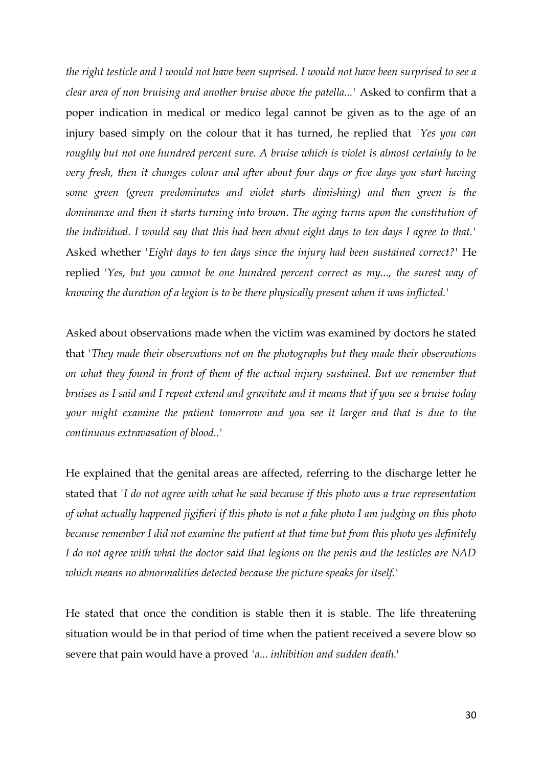*the right testicle and I would not have been suprised. I would not have been surprised to see a clear area of non bruising and another bruise above the patella...'* Asked to confirm that a poper indication in medical or medico legal cannot be given as to the age of an injury based simply on the colour that it has turned, he replied that *'Yes you can roughly but not one hundred percent sure. A bruise which is violet is almost certainly to be very fresh, then it changes colour and after about four days or five days you start having some green (green predominates and violet starts dimishing) and then green is the dominanxe and then it starts turning into brown. The aging turns upon the constitution of the individual. I would say that this had been about eight days to ten days I agree to that.'* Asked whether *'Eight days to ten days since the injury had been sustained correct?'* He replied '*Yes, but you cannot be one hundred percent correct as my..., the surest way of knowing the duration of a legion is to be there physically present when it was inflicted.'*

Asked about observations made when the victim was examined by doctors he stated that *'They made their observations not on the photographs but they made their observations on what they found in front of them of the actual injury sustained. But we remember that bruises as I said and I repeat extend and gravitate and it means that if you see a bruise today your might examine the patient tomorrow and you see it larger and that is due to the continuous extravasation of blood..'*

He explained that the genital areas are affected, referring to the discharge letter he stated that *'I do not agree with what he said because if this photo was a true representation of what actually happened jigifieri if this photo is not a fake photo I am judging on this photo because remember I did not examine the patient at that time but from this photo yes definitely I do not agree with what the doctor said that legions on the penis and the testicles are NAD which means no abnormalities detected because the picture speaks for itself.'*

He stated that once the condition is stable then it is stable. The life threatening situation would be in that period of time when the patient received a severe blow so severe that pain would have a proved *'a... inhibition and sudden death.*'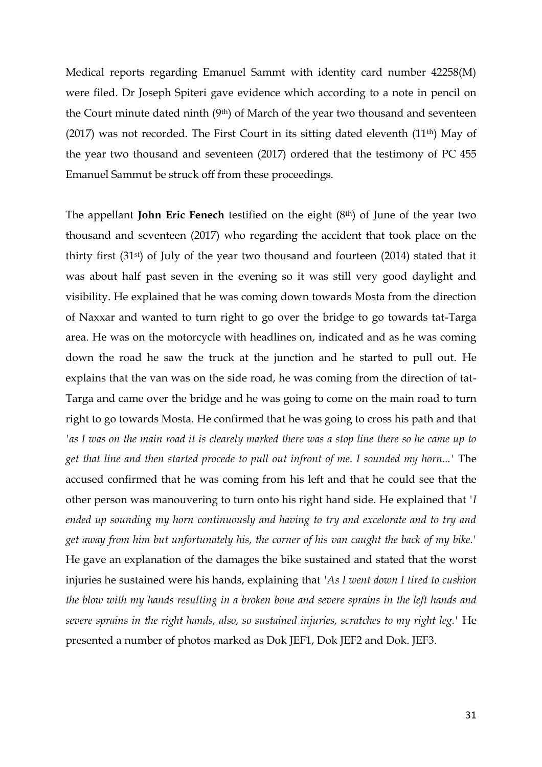Medical reports regarding Emanuel Sammt with identity card number 42258(M) were filed. Dr Joseph Spiteri gave evidence which according to a note in pencil on the Court minute dated ninth (9th) of March of the year two thousand and seventeen (2017) was not recorded. The First Court in its sitting dated eleventh  $(11<sup>th</sup>)$  May of the year two thousand and seventeen (2017) ordered that the testimony of PC 455 Emanuel Sammut be struck off from these proceedings.

The appellant **John Eric Fenech** testified on the eight (8th) of June of the year two thousand and seventeen (2017) who regarding the accident that took place on the thirty first (31st) of July of the year two thousand and fourteen (2014) stated that it was about half past seven in the evening so it was still very good daylight and visibility. He explained that he was coming down towards Mosta from the direction of Naxxar and wanted to turn right to go over the bridge to go towards tat-Targa area. He was on the motorcycle with headlines on, indicated and as he was coming down the road he saw the truck at the junction and he started to pull out. He explains that the van was on the side road, he was coming from the direction of tat-Targa and came over the bridge and he was going to come on the main road to turn right to go towards Mosta. He confirmed that he was going to cross his path and that *'as I was on the main road it is clearely marked there was a stop line there so he came up to get that line and then started procede to pull out infront of me. I sounded my horn...'* The accused confirmed that he was coming from his left and that he could see that the other person was manouvering to turn onto his right hand side. He explained that *'I ended up sounding my horn continuously and having to try and excelorate and to try and get away from him but unfortunately his, the corner of his van caught the back of my bike.'* He gave an explanation of the damages the bike sustained and stated that the worst injuries he sustained were his hands, explaining that *'As I went down I tired to cushion the blow with my hands resulting in a broken bone and severe sprains in the left hands and severe sprains in the right hands, also, so sustained injuries, scratches to my right leg.'* He presented a number of photos marked as Dok JEF1, Dok JEF2 and Dok. JEF3.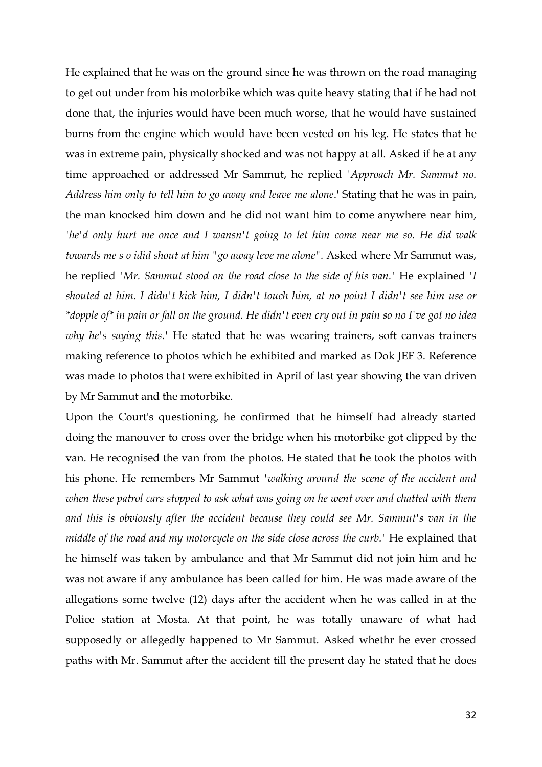He explained that he was on the ground since he was thrown on the road managing to get out under from his motorbike which was quite heavy stating that if he had not done that, the injuries would have been much worse, that he would have sustained burns from the engine which would have been vested on his leg. He states that he was in extreme pain, physically shocked and was not happy at all. Asked if he at any time approached or addressed Mr Sammut, he replied *'Approach Mr. Sammut no. Address him only to tell him to go away and leave me alone*.' Stating that he was in pain, the man knocked him down and he did not want him to come anywhere near him, *'he'd only hurt me once and I wansn't going to let him come near me so. He did walk towards me s o idid shout at him "go away leve me alone".* Asked where Mr Sammut was, he replied *'Mr. Sammut stood on the road close to the side of his van.'* He explained *'I shouted at him. I didn't kick him, I didn't touch him, at no point I didn't see him use or \*dopple of\* in pain or fall on the ground. He didn't even cry out in pain so no I've got no idea why he's saying this.'* He stated that he was wearing trainers, soft canvas trainers making reference to photos which he exhibited and marked as Dok JEF 3. Reference was made to photos that were exhibited in April of last year showing the van driven by Mr Sammut and the motorbike.

Upon the Court's questioning, he confirmed that he himself had already started doing the manouver to cross over the bridge when his motorbike got clipped by the van. He recognised the van from the photos. He stated that he took the photos with his phone. He remembers Mr Sammut *'walking around the scene of the accident and when these patrol cars stopped to ask what was going on he went over and chatted with them and this is obviously after the accident because they could see Mr. Sammut's van in the middle of the road and my motorcycle on the side close across the curb.'* He explained that he himself was taken by ambulance and that Mr Sammut did not join him and he was not aware if any ambulance has been called for him. He was made aware of the allegations some twelve (12) days after the accident when he was called in at the Police station at Mosta. At that point, he was totally unaware of what had supposedly or allegedly happened to Mr Sammut. Asked whethr he ever crossed paths with Mr. Sammut after the accident till the present day he stated that he does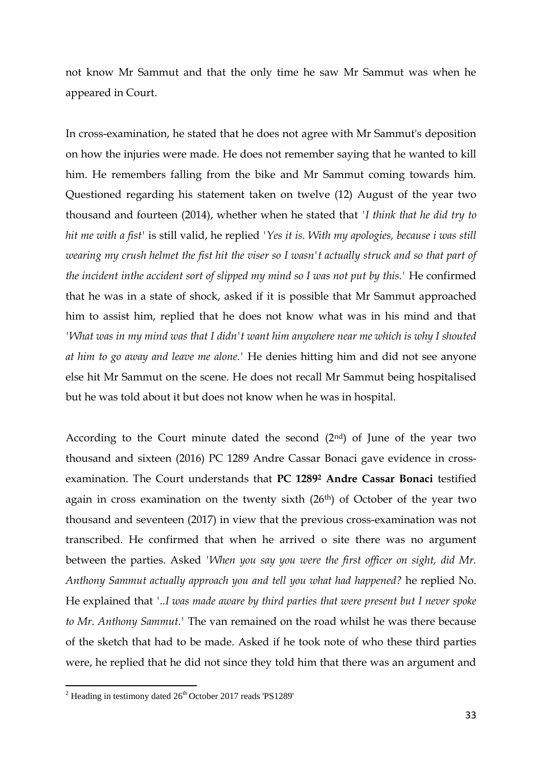not know Mr Sammut and that the only time he saw Mr Sammut was when he appeared in Court.

In cross-examination, he stated that he does not agree with Mr Sammut's deposition on how the injuries were made. He does not remember saying that he wanted to kill him. He remembers falling from the bike and Mr Sammut coming towards him. Questioned regarding his statement taken on twelve (12) August of the year two thousand and fourteen (2014), whether when he stated that *'I think that he did try to hit me with a fist'* is still valid, he replied *'Yes it is. With my apologies, because i was still wearing my crush helmet the fist hit the viser so I wasn't actually struck and so that part of the incident inthe accident sort of slipped my mind so I was not put by this.'* He confirmed that he was in a state of shock, asked if it is possible that Mr Sammut approached him to assist him, replied that he does not know what was in his mind and that *'What was in my mind was that I didn't want him anywhere near me which is why I shouted at him to go away and leave me alone.'* He denies hitting him and did not see anyone else hit Mr Sammut on the scene. He does not recall Mr Sammut being hospitalised but he was told about it but does not know when he was in hospital.

According to the Court minute dated the second  $(2<sup>nd</sup>)$  of June of the year two thousand and sixteen (2016) PC 1289 Andre Cassar Bonaci gave evidence in crossexamination. The Court understands that **PC 1289<sup>2</sup> Andre Cassar Bonaci** testified again in cross examination on the twenty sixth  $(26<sup>th</sup>)$  of October of the year two thousand and seventeen (2017) in view that the previous cross-examination was not transcribed. He confirmed that when he arrived o site there was no argument between the parties. Asked *'When you say you were the first officer on sight, did Mr. Anthony Sammut actually approach you and tell you what had happened?* he replied No. He explained that *'..I was made aware by third parties that were present but I never spoke to Mr. Anthony Sammut.'* The van remained on the road whilst he was there because of the sketch that had to be made. Asked if he took note of who these third parties were, he replied that he did not since they told him that there was an argument and

l

 $2$  Heading in testimony dated  $26<sup>th</sup>$  October 2017 reads 'PS1289'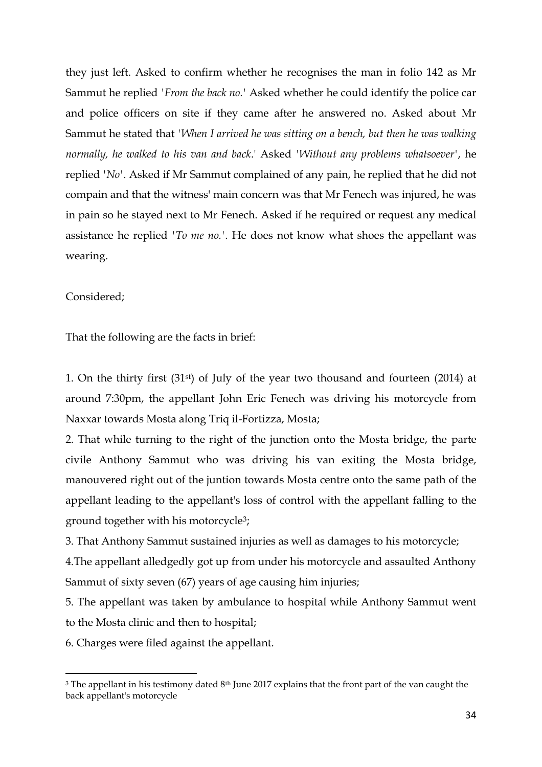they just left. Asked to confirm whether he recognises the man in folio 142 as Mr Sammut he replied *'From the back no.'* Asked whether he could identify the police car and police officers on site if they came after he answered no. Asked about Mr Sammut he stated that *'When I arrived he was sitting on a bench, but then he was walking normally, he walked to his van and back*.' Asked *'Without any problems whatsoever'*, he replied *'No'*. Asked if Mr Sammut complained of any pain, he replied that he did not compain and that the witness' main concern was that Mr Fenech was injured, he was in pain so he stayed next to Mr Fenech. Asked if he required or request any medical assistance he replied *'To me no.'*. He does not know what shoes the appellant was wearing.

### Considered;

 $\overline{a}$ 

That the following are the facts in brief:

1. On the thirty first (31st) of July of the year two thousand and fourteen (2014) at around 7:30pm, the appellant John Eric Fenech was driving his motorcycle from Naxxar towards Mosta along Triq il-Fortizza, Mosta;

2. That while turning to the right of the junction onto the Mosta bridge, the parte civile Anthony Sammut who was driving his van exiting the Mosta bridge, manouvered right out of the juntion towards Mosta centre onto the same path of the appellant leading to the appellant's loss of control with the appellant falling to the ground together with his motorcycle3;

3. That Anthony Sammut sustained injuries as well as damages to his motorcycle;

4.The appellant alledgedly got up from under his motorcycle and assaulted Anthony Sammut of sixty seven (67) years of age causing him injuries;

5. The appellant was taken by ambulance to hospital while Anthony Sammut went to the Mosta clinic and then to hospital;

6. Charges were filed against the appellant.

<sup>&</sup>lt;sup>3</sup> The appellant in his testimony dated 8<sup>th</sup> June 2017 explains that the front part of the van caught the back appellant's motorcycle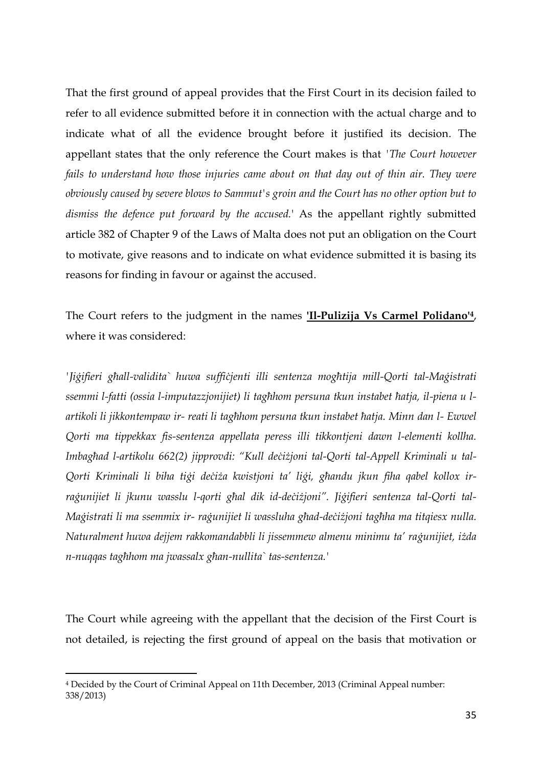That the first ground of appeal provides that the First Court in its decision failed to refer to all evidence submitted before it in connection with the actual charge and to indicate what of all the evidence brought before it justified its decision. The appellant states that the only reference the Court makes is that *'The Court however fails to understand how those injuries came about on that day out of thin air. They were obviously caused by severe blows to Sammut's groin and the Court has no other option but to dismiss the defence put forward by the accused.*' As the appellant rightly submitted article 382 of Chapter 9 of the Laws of Malta does not put an obligation on the Court to motivate, give reasons and to indicate on what evidence submitted it is basing its reasons for finding in favour or against the accused.

The Court refers to the judgment in the names **'Il-Pulizija Vs Carmel Polidano'<sup>4</sup>**, where it was considered:

*'Jig ifieri għall-validita` huwa suffic jenti illi sentenza mogħtija mill-Qorti tal-Mag istrati ssemmi l-fatti (ossia l-imputazzjonijiet) li tagħhom persuna tkun instabet ħatja, il-piena u lartikoli li jikkontempaw ir- reati li tagħhom persuna tkun instabet ħatja. Minn dan l- Ewwel Qorti ma tippekkax fis-sentenza appellata peress illi tikkontjeni dawn l-elementi kollha. Imbagħad l-artikolu 662(2) jipprovdi: "Kull dec iz joni tal-Qorti tal-Appell Kriminali u tal-Qorti Kriminali li biha tig i dec iz a kwistjoni ta' lig i, għandu jkun fiha qabel kollox irrag unijiet li jkunu wasslu l-qorti għal dik id-dec iz joni". Jig ifieri sentenza tal-Qorti tal-Mag istrati li ma ssemmix ir- rag unijiet li wassluha għad-dec iz joni tagħha ma titqiesx nulla. Naturalment huwa dejjem rakkomandabbli li jissemmew almenu minimu ta' rag unijiet, iz da n-nuqqas tagħhom ma jwassalx għan-nullita` tas-sentenza.'* 

The Court while agreeing with the appellant that the decision of the First Court is not detailed, is rejecting the first ground of appeal on the basis that motivation or

 $\overline{a}$ 

<sup>4</sup> Decided by the Court of Criminal Appeal on 11th December, 2013 (Criminal Appeal number: 338/2013)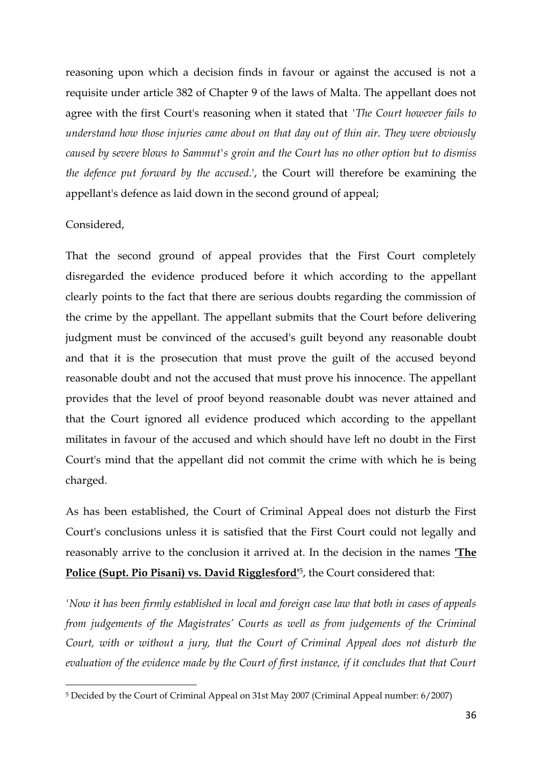reasoning upon which a decision finds in favour or against the accused is not a requisite under article 382 of Chapter 9 of the laws of Malta. The appellant does not agree with the first Court's reasoning when it stated that *'The Court however fails to understand how those injuries came about on that day out of thin air. They were obviously caused by severe blows to Sammut's groin and the Court has no other option but to dismiss the defence put forward by the accused.*', the Court will therefore be examining the appellant's defence as laid down in the second ground of appeal;

#### Considered,

 $\overline{a}$ 

That the second ground of appeal provides that the First Court completely disregarded the evidence produced before it which according to the appellant clearly points to the fact that there are serious doubts regarding the commission of the crime by the appellant. The appellant submits that the Court before delivering judgment must be convinced of the accused's guilt beyond any reasonable doubt and that it is the prosecution that must prove the guilt of the accused beyond reasonable doubt and not the accused that must prove his innocence. The appellant provides that the level of proof beyond reasonable doubt was never attained and that the Court ignored all evidence produced which according to the appellant militates in favour of the accused and which should have left no doubt in the First Court's mind that the appellant did not commit the crime with which he is being charged.

As has been established, the Court of Criminal Appeal does not disturb the First Court's conclusions unless it is satisfied that the First Court could not legally and reasonably arrive to the conclusion it arrived at. In the decision in the names **'The Police (Supt. Pio Pisani) vs. David Rigglesford'**5, the Court considered that:

*'Now it has been firmly established in local and foreign case law that both in cases of appeals from judgements of the Magistrates' Courts as well as from judgements of the Criminal Court, with or without a jury, that the Court of Criminal Appeal does not disturb the evaluation of the evidence made by the Court of first instance, if it concludes that that Court* 

<sup>5</sup> Decided by the Court of Criminal Appeal on 31st May 2007 (Criminal Appeal number: 6/2007)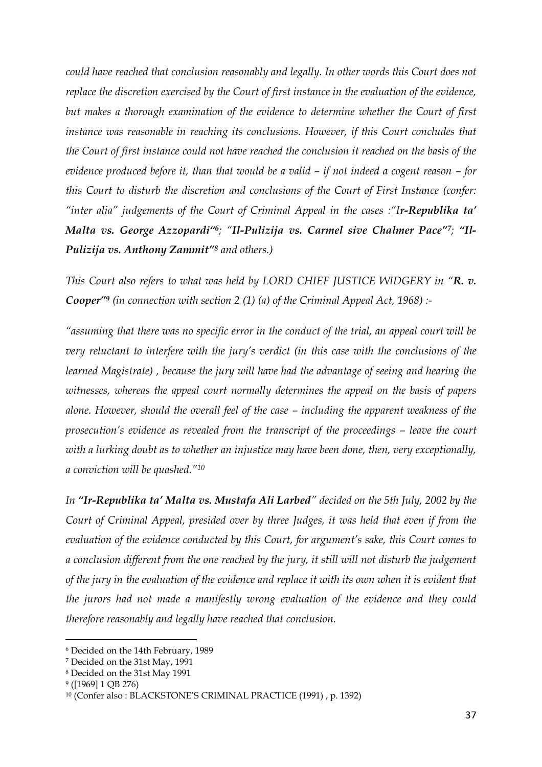*could have reached that conclusion reasonably and legally. In other words this Court does not replace the discretion exercised by the Court of first instance in the evaluation of the evidence, but makes a thorough examination of the evidence to determine whether the Court of first*  instance was reasonable in reaching its conclusions. However, if this Court concludes that *the Court of first instance could not have reached the conclusion it reached on the basis of the evidence produced before it, than that would be a valid – if not indeed a cogent reason – for this Court to disturb the discretion and conclusions of the Court of First Instance (confer: "inter alia" judgements of the Court of Criminal Appeal in the cases :"Ir-Republika ta' Malta vs. George Azzopardi"6; "Il-Pulizija vs. Carmel sive Chalmer Pace"7; "Il-Pulizija vs. Anthony Zammit"<sup>8</sup> and others.)* 

*This Court also refers to what was held by LORD CHIEF JUSTICE WIDGERY in "R. v. Cooper"<sup>9</sup> (in connection with section 2 (1) (a) of the Criminal Appeal Act, 1968) :-*

*"assuming that there was no specific error in the conduct of the trial, an appeal court will be very reluctant to interfere with the jury's verdict (in this case with the conclusions of the learned Magistrate) , because the jury will have had the advantage of seeing and hearing the witnesses, whereas the appeal court normally determines the appeal on the basis of papers alone. However, should the overall feel of the case – including the apparent weakness of the prosecution's evidence as revealed from the transcript of the proceedings – leave the court with a lurking doubt as to whether an injustice may have been done, then, very exceptionally, a conviction will be quashed."<sup>10</sup>*

*In "Ir-Republika ta' Malta vs. Mustafa Ali Larbed" decided on the 5th July, 2002 by the Court of Criminal Appeal, presided over by three Judges, it was held that even if from the evaluation of the evidence conducted by this Court, for argument's sake, this Court comes to a conclusion different from the one reached by the jury, it still will not disturb the judgement of the jury in the evaluation of the evidence and replace it with its own when it is evident that the jurors had not made a manifestly wrong evaluation of the evidence and they could therefore reasonably and legally have reached that conclusion.* 

l

<sup>6</sup> Decided on the 14th February, 1989

<sup>7</sup> Decided on the 31st May, 1991

<sup>8</sup> Decided on the 31st May 1991

<sup>9</sup> ([1969] 1 QB 276)

<sup>10</sup> (Confer also : BLACKSTONE'S CRIMINAL PRACTICE (1991) , p. 1392)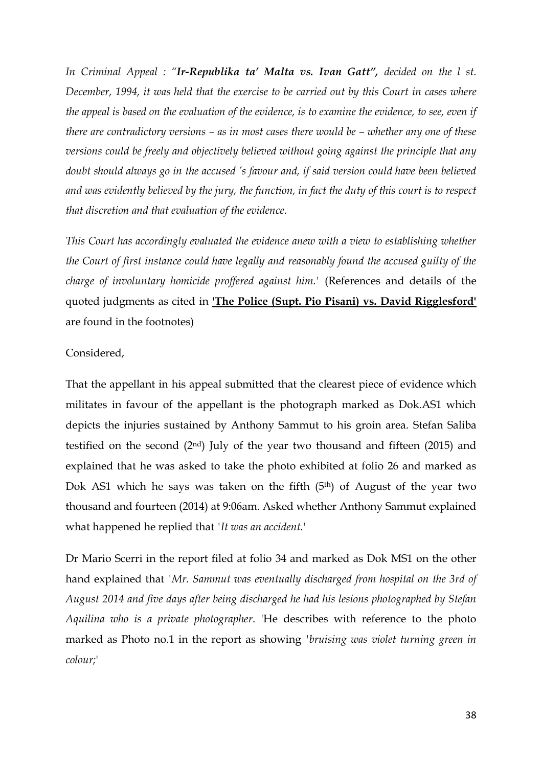*In Criminal Appeal : "Ir-Republika ta' Malta vs. Ivan Gatt", decided on the l st. December, 1994, it was held that the exercise to be carried out by this Court in cases where the appeal is based on the evaluation of the evidence, is to examine the evidence, to see, even if there are contradictory versions – as in most cases there would be – whether any one of these versions could be freely and objectively believed without going against the principle that any doubt should always go in the accused 's favour and, if said version could have been believed and was evidently believed by the jury, the function, in fact the duty of this court is to respect that discretion and that evaluation of the evidence.* 

*This Court has accordingly evaluated the evidence anew with a view to establishing whether the Court of first instance could have legally and reasonably found the accused guilty of the charge of involuntary homicide proffered against him.'* (References and details of the quoted judgments as cited in **'The Police (Supt. Pio Pisani) vs. David Rigglesford'** are found in the footnotes)

#### Considered,

That the appellant in his appeal submitted that the clearest piece of evidence which militates in favour of the appellant is the photograph marked as Dok.AS1 which depicts the injuries sustained by Anthony Sammut to his groin area. Stefan Saliba testified on the second (2nd) July of the year two thousand and fifteen (2015) and explained that he was asked to take the photo exhibited at folio 26 and marked as Dok AS1 which he says was taken on the fifth  $(5<sup>th</sup>)$  of August of the year two thousand and fourteen (2014) at 9:06am. Asked whether Anthony Sammut explained what happened he replied that *'It was an accident.*'

Dr Mario Scerri in the report filed at folio 34 and marked as Dok MS1 on the other hand explained that *'Mr. Sammut was eventually discharged from hospital on the 3rd of August 2014 and five days after being discharged he had his lesions photographed by Stefan Aquilina who is a private photographer*. 'He describes with reference to the photo marked as Photo no.1 in the report as showing *'bruising was violet turning green in colour;*'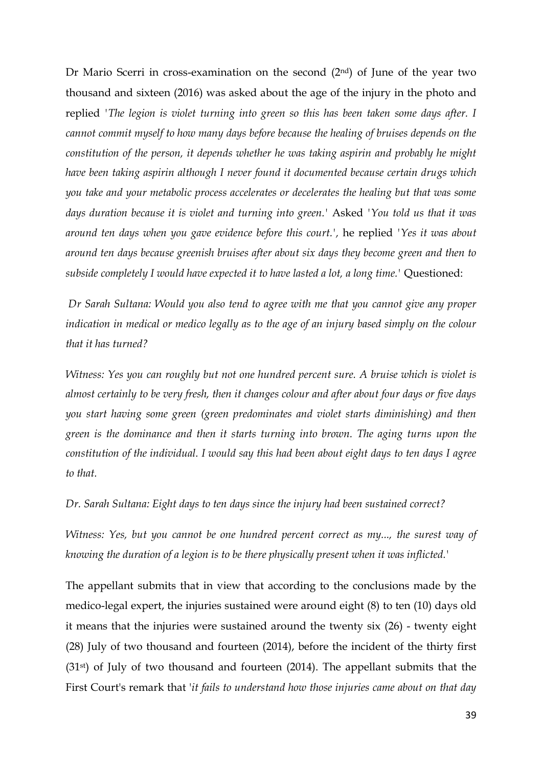Dr Mario Scerri in cross-examination on the second (2nd) of June of the year two thousand and sixteen (2016) was asked about the age of the injury in the photo and replied *'The legion is violet turning into green so this has been taken some days after. I cannot commit myself to how many days before because the healing of bruises depends on the constitution of the person, it depends whether he was taking aspirin and probably he might have been taking aspirin although I never found it documented because certain drugs which you take and your metabolic process accelerates or decelerates the healing but that was some days duration because it is violet and turning into green.'* Asked *'You told us that it was around ten days when you gave evidence before this court.',* he replied *'Yes it was about around ten days because greenish bruises after about six days they become green and then to subside completely I would have expected it to have lasted a lot, a long time.'* Questioned:

*Dr Sarah Sultana: Would you also tend to agree with me that you cannot give any proper indication in medical or medico legally as to the age of an injury based simply on the colour that it has turned?*

*Witness: Yes you can roughly but not one hundred percent sure. A bruise which is violet is almost certainly to be very fresh, then it changes colour and after about four days or five days you start having some green (green predominates and violet starts diminishing) and then green is the dominance and then it starts turning into brown. The aging turns upon the constitution of the individual. I would say this had been about eight days to ten days I agree to that.*

*Dr. Sarah Sultana: Eight days to ten days since the injury had been sustained correct?*

*Witness: Yes, but you cannot be one hundred percent correct as my..., the surest way of knowing the duration of a legion is to be there physically present when it was inflicted.'*

The appellant submits that in view that according to the conclusions made by the medico-legal expert, the injuries sustained were around eight (8) to ten (10) days old it means that the injuries were sustained around the twenty six (26) - twenty eight (28) July of two thousand and fourteen (2014), before the incident of the thirty first (31st) of July of two thousand and fourteen (2014). The appellant submits that the First Court's remark that '*it fails to understand how those injuries came about on that day*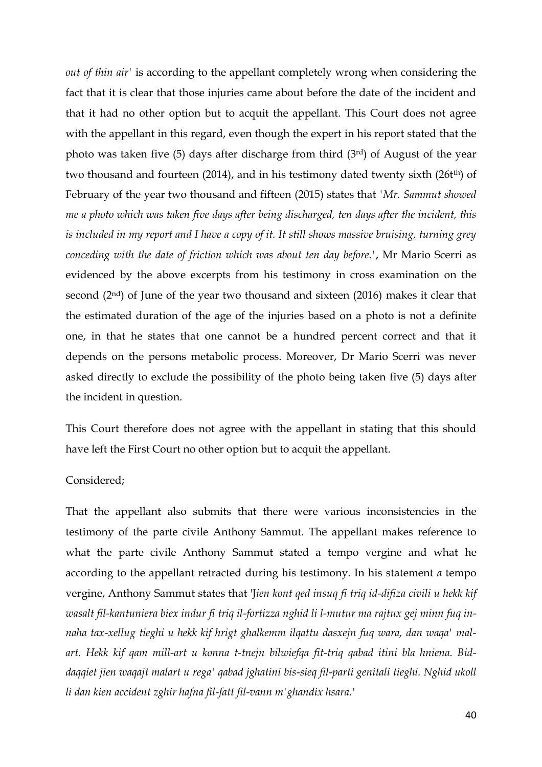*out of thin air'* is according to the appellant completely wrong when considering the fact that it is clear that those injuries came about before the date of the incident and that it had no other option but to acquit the appellant. This Court does not agree with the appellant in this regard, even though the expert in his report stated that the photo was taken five (5) days after discharge from third (3rd) of August of the year two thousand and fourteen (2014), and in his testimony dated twenty sixth (26t<sup>th</sup>) of February of the year two thousand and fifteen (2015) states that *'Mr. Sammut showed me a photo which was taken five days after being discharged, ten days after the incident, this is included in my report and I have a copy of it. It still shows massive bruising, turning grey conceding with the date of friction which was about ten day before.'*, Mr Mario Scerri as evidenced by the above excerpts from his testimony in cross examination on the second (2nd) of June of the year two thousand and sixteen (2016) makes it clear that the estimated duration of the age of the injuries based on a photo is not a definite one, in that he states that one cannot be a hundred percent correct and that it depends on the persons metabolic process. Moreover, Dr Mario Scerri was never asked directly to exclude the possibility of the photo being taken five (5) days after the incident in question.

This Court therefore does not agree with the appellant in stating that this should have left the First Court no other option but to acquit the appellant.

#### Considered;

That the appellant also submits that there were various inconsistencies in the testimony of the parte civile Anthony Sammut. The appellant makes reference to what the parte civile Anthony Sammut stated a tempo vergine and what he according to the appellant retracted during his testimony. In his statement *a* tempo vergine, Anthony Sammut states that 'J*ien kont qed insuq fi triq id-difiza civili u hekk kif wasalt fil-kantuniera biex indur fi triq il-fortizza nghid li l-mutur ma rajtux gej minn fuq innaha tax-xellug tieghi u hekk kif hrigt ghalkemm ilqattu dasxejn fuq wara, dan waqa' malart. Hekk kif qam mill-art u konna t-tnejn bilwiefqa fit-triq qabad itini bla hniena. Biddaqqiet jien waqajt malart u rega' qabad jghatini bis-sieq fil-parti genitali tieghi. Nghid ukoll li dan kien accident zghir hafna fil-fatt fil-vann m'ghandix hsara.'*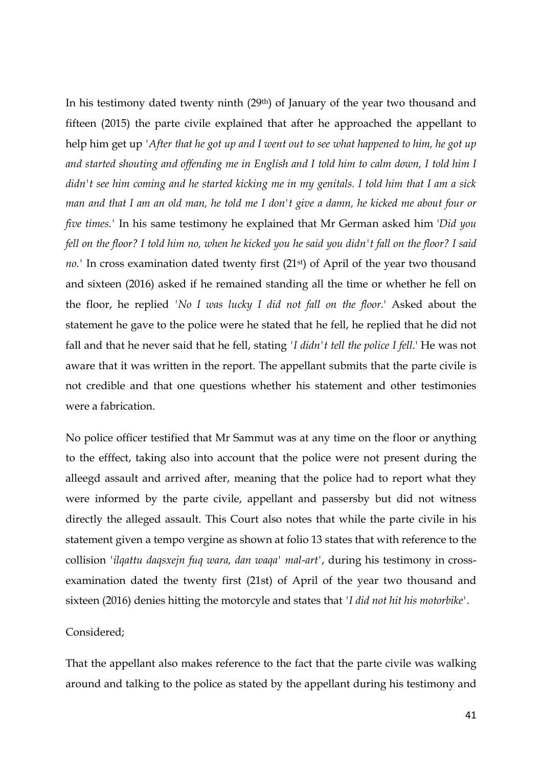In his testimony dated twenty ninth (29<sup>th</sup>) of January of the year two thousand and fifteen (2015) the parte civile explained that after he approached the appellant to help him get up *'After that he got up and I went out to see what happened to him, he got up and started shouting and offending me in English and I told him to calm down, I told him I didn't see him coming and he started kicking me in my genitals. I told him that I am a sick man and that I am an old man, he told me I don't give a damn, he kicked me about four or five times.'* In his same testimony he explained that Mr German asked him '*Did you fell on the floor? I told him no, when he kicked you he said you didn't fall on the floor? I said*  no.' In cross examination dated twenty first (21<sup>st</sup>) of April of the year two thousand and sixteen (2016) asked if he remained standing all the time or whether he fell on the floor, he replied *'No I was lucky I did not fall on the floor.*' Asked about the statement he gave to the police were he stated that he fell, he replied that he did not fall and that he never said that he fell, stating *'I didn't tell the police I fell.*' He was not aware that it was written in the report. The appellant submits that the parte civile is not credible and that one questions whether his statement and other testimonies were a fabrication.

No police officer testified that Mr Sammut was at any time on the floor or anything to the efffect, taking also into account that the police were not present during the alleegd assault and arrived after, meaning that the police had to report what they were informed by the parte civile, appellant and passersby but did not witness directly the alleged assault. This Court also notes that while the parte civile in his statement given a tempo vergine as shown at folio 13 states that with reference to the collision *'ilqattu daqsxejn fuq wara, dan waqa' mal-art'*, during his testimony in crossexamination dated the twenty first (21st) of April of the year two thousand and sixteen (2016) denies hitting the motorcyle and states that *'I did not hit his motorbike'*.

### Considered;

That the appellant also makes reference to the fact that the parte civile was walking around and talking to the police as stated by the appellant during his testimony and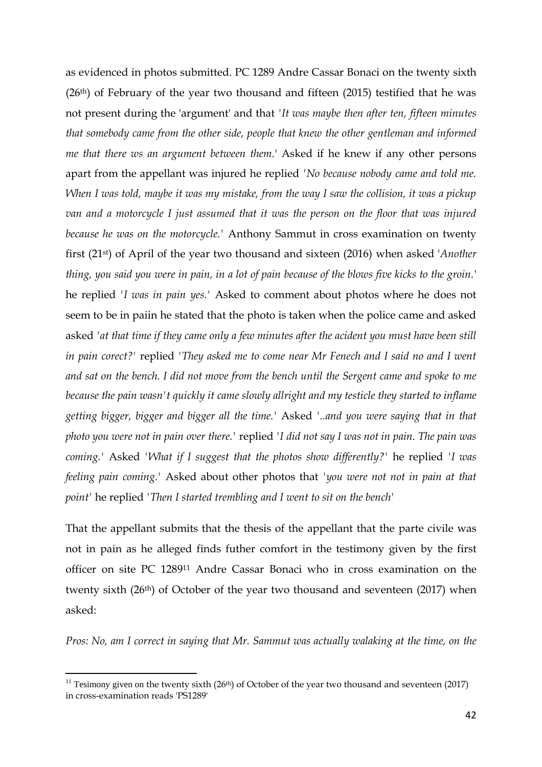as evidenced in photos submitted. PC 1289 Andre Cassar Bonaci on the twenty sixth  $(26<sup>th</sup>)$  of February of the year two thousand and fifteen  $(2015)$  testified that he was not present during the 'argument' and that *'It was maybe then after ten, fifteen minutes that somebody came from the other side, people that knew the other gentleman and informed me that there ws an argument between them.*' Asked if he knew if any other persons apart from the appellant was injured he replied *'No because nobody came and told me. When I was told, maybe it was my mistake, from the way I saw the collision, it was a pickup van and a motorcycle I just assumed that it was the person on the floor that was injured because he was on the motorcycle.'* Anthony Sammut in cross examination on twenty first (21st) of April of the year two thousand and sixteen (2016) when asked '*Another thing, you said you were in pain, in a lot of pain because of the blows five kicks to the groin.*' he replied *'I was in pain yes.'* Asked to comment about photos where he does not seem to be in paiin he stated that the photo is taken when the police came and asked asked *'at that time if they came only a few minutes after the acident you must have been still in pain corect?'* replied *'They asked me to come near Mr Fenech and I said no and I went and sat on the bench. I did not move from the bench until the Sergent came and spoke to me because the pain wasn't quickly it came slowly allright and my testicle they started to inflame getting bigger, bigger and bigger all the time.'* Asked *'..and you were saying that in that photo you were not in pain over there.'* replied *'I did not say I was not in pain. The pain was coming.'* Asked *'What if I suggest that the photos show differently?'* he replied *'I was feeling pain coming.'* Asked about other photos that *'you were not not in pain at that point'* he replied *'Then I started trembling and I went to sit on the bench'*

That the appellant submits that the thesis of the appellant that the parte civile was not in pain as he alleged finds futher comfort in the testimony given by the first officer on site PC 1289<sup>11</sup> Andre Cassar Bonaci who in cross examination on the twenty sixth (26<sup>th</sup>) of October of the year two thousand and seventeen (2017) when asked:

*Pros: No, am I correct in saying that Mr. Sammut was actually walaking at the time, on the* 

 $\overline{a}$ 

<sup>&</sup>lt;sup>11</sup> Tesimony given on the twenty sixth (26<sup>th</sup>) of October of the year two thousand and seventeen (2017) in cross-examination reads 'PS1289'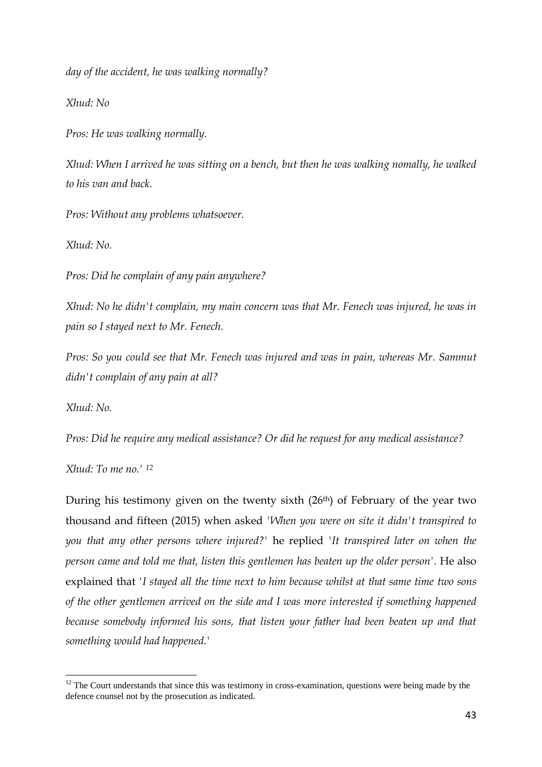*day of the accident, he was walking normally?*

*Xhud: No*

*Pros: He was walking normally.*

*Xhud: When I arrived he was sitting on a bench, but then he was walking nomally, he walked to his van and back.*

*Pros: Without any problems whatsoever.*

*Xhud: No.*

*Pros: Did he complain of any pain anywhere?*

*Xhud: No he didn't complain, my main concern was that Mr. Fenech was injured, he was in pain so I stayed next to Mr. Fenech.*

*Pros: So you could see that Mr. Fenech was injured and was in pain, whereas Mr. Sammut didn't complain of any pain at all?*

*Xhud: No.*

 $\overline{a}$ 

*Pros: Did he require any medical assistance? Or did he request for any medical assistance?*

*Xhud: To me no.' <sup>12</sup>*

During his testimony given on the twenty sixth (26th) of February of the year two thousand and fifteen (2015) when asked *'When you were on site it didn't transpired to you that any other persons where injured?'* he replied *'It transpired later on when the person came and told me that, listen this gentlemen has beaten up the older person'.* He also explained that *'I stayed all the time next to him because whilst at that same time two sons of the other gentlemen arrived on the side and I was more interested if something happened because somebody informed his sons, that listen your father had been beaten up and that something would had happened.'*

 $12$  The Court understands that since this was testimony in cross-examination, questions were being made by the defence counsel not by the prosecution as indicated.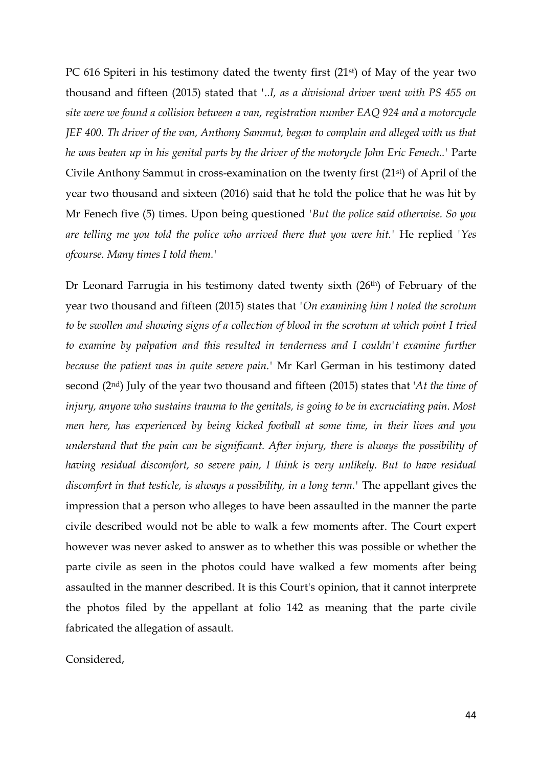PC 616 Spiteri in his testimony dated the twenty first (21<sup>st</sup>) of May of the year two thousand and fifteen (2015) stated that *'..I, as a divisional driver went with PS 455 on site were we found a collision between a van, registration number EAQ 924 and a motorcycle JEF 400. Th driver of the van, Anthony Sammut, began to complain and alleged with us that he was beaten up in his genital parts by the driver of the motorycle John Eric Fenech..'* Parte Civile Anthony Sammut in cross-examination on the twenty first (21st) of April of the year two thousand and sixteen (2016) said that he told the police that he was hit by Mr Fenech five (5) times. Upon being questioned *'But the police said otherwise. So you are telling me you told the police who arrived there that you were hit.'* He replied *'Yes ofcourse. Many times I told them.'*

Dr Leonard Farrugia in his testimony dated twenty sixth (26th) of February of the year two thousand and fifteen (2015) states that *'On examining him I noted the scrotum to be swollen and showing signs of a collection of blood in the scrotum at which point I tried to examine by palpation and this resulted in tenderness and I couldn't examine further because the patient was in quite severe pain.'* Mr Karl German in his testimony dated second (2nd) July of the year two thousand and fifteen (2015) states that '*At the time of injury, anyone who sustains trauma to the genitals, is going to be in excruciating pain. Most men here, has experienced by being kicked football at some time, in their lives and you understand that the pain can be significant. After injury, there is always the possibility of having residual discomfort, so severe pain, I think is very unlikely. But to have residual discomfort in that testicle, is always a possibility, in a long term.'* The appellant gives the impression that a person who alleges to have been assaulted in the manner the parte civile described would not be able to walk a few moments after. The Court expert however was never asked to answer as to whether this was possible or whether the parte civile as seen in the photos could have walked a few moments after being assaulted in the manner described. It is this Court's opinion, that it cannot interprete the photos filed by the appellant at folio 142 as meaning that the parte civile fabricated the allegation of assault.

Considered,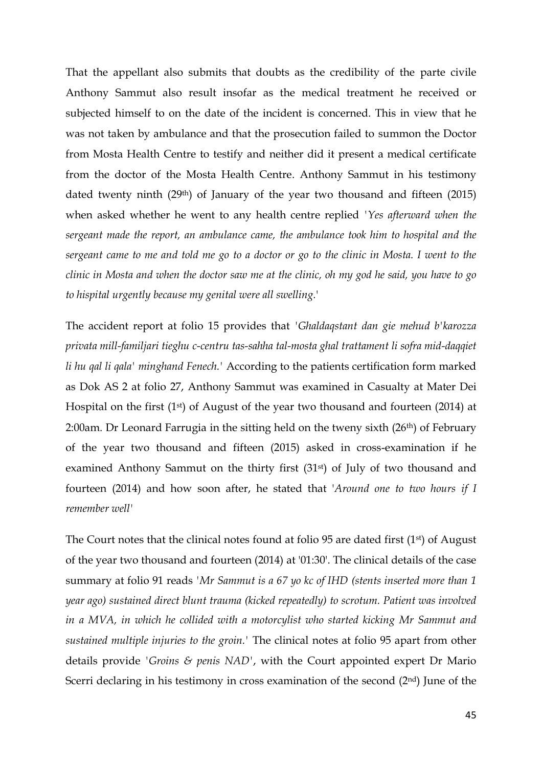That the appellant also submits that doubts as the credibility of the parte civile Anthony Sammut also result insofar as the medical treatment he received or subjected himself to on the date of the incident is concerned. This in view that he was not taken by ambulance and that the prosecution failed to summon the Doctor from Mosta Health Centre to testify and neither did it present a medical certificate from the doctor of the Mosta Health Centre. Anthony Sammut in his testimony dated twenty ninth (29th) of January of the year two thousand and fifteen (2015) when asked whether he went to any health centre replied *'Yes afterward when the sergeant made the report, an ambulance came, the ambulance took him to hospital and the sergeant came to me and told me go to a doctor or go to the clinic in Mosta. I went to the clinic in Mosta and when the doctor saw me at the clinic, oh my god he said, you have to go to hispital urgently because my genital were all swelling.*'

The accident report at folio 15 provides that *'Ghaldaqstant dan gie mehud b'karozza privata mill-familjari tieghu c-centru tas-sahha tal-mosta ghal trattament li sofra mid-daqqiet li hu qal li qala' minghand Fenech.'* According to the patients certification form marked as Dok AS 2 at folio 27, Anthony Sammut was examined in Casualty at Mater Dei Hospital on the first (1<sup>st</sup>) of August of the year two thousand and fourteen (2014) at 2:00am. Dr Leonard Farrugia in the sitting held on the tweny sixth (26<sup>th</sup>) of February of the year two thousand and fifteen (2015) asked in cross-examination if he examined Anthony Sammut on the thirty first (31<sup>st</sup>) of July of two thousand and fourteen (2014) and how soon after, he stated that '*Around one to two hours if I remember well'*

The Court notes that the clinical notes found at folio 95 are dated first (1<sup>st</sup>) of August of the year two thousand and fourteen (2014) at '01:30'. The clinical details of the case summary at folio 91 reads *'Mr Sammut is a 67 yo kc of IHD (stents inserted more than 1 year ago) sustained direct blunt trauma (kicked repeatedly) to scrotum. Patient was involved in a MVA, in which he collided with a motorcylist who started kicking Mr Sammut and sustained multiple injuries to the groin.'* The clinical notes at folio 95 apart from other details provide *'Groins & penis NAD'*, with the Court appointed expert Dr Mario Scerri declaring in his testimony in cross examination of the second (2<sup>nd</sup>) June of the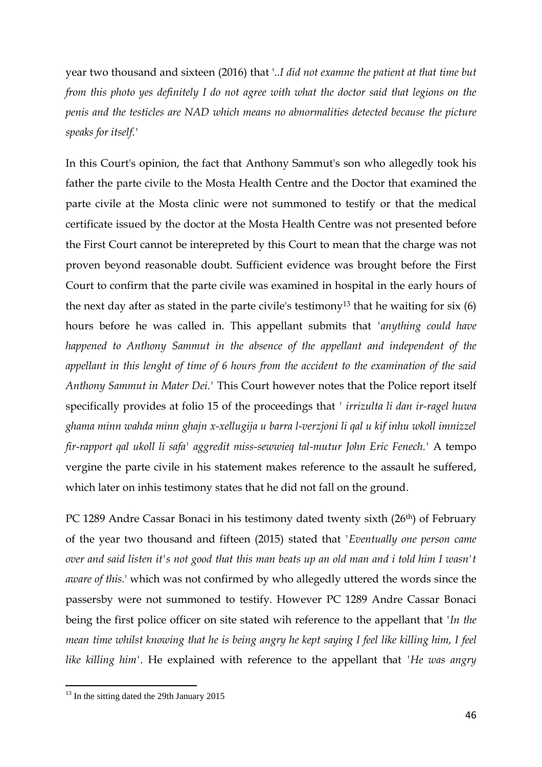year two thousand and sixteen (2016) that '*..I did not examne the patient at that time but from this photo yes definitely I do not agree with what the doctor said that legions on the penis and the testicles are NAD which means no abnormalities detected because the picture speaks for itself.'*

In this Court's opinion, the fact that Anthony Sammut's son who allegedly took his father the parte civile to the Mosta Health Centre and the Doctor that examined the parte civile at the Mosta clinic were not summoned to testify or that the medical certificate issued by the doctor at the Mosta Health Centre was not presented before the First Court cannot be interepreted by this Court to mean that the charge was not proven beyond reasonable doubt. Sufficient evidence was brought before the First Court to confirm that the parte civile was examined in hospital in the early hours of the next day after as stated in the parte civile's testimony<sup>13</sup> that he waiting for six  $(6)$ hours before he was called in. This appellant submits that *'anything could have happened to Anthony Sammut in the absence of the appellant and independent of the appellant in this lenght of time of 6 hours from the accident to the examination of the said Anthony Sammut in Mater Dei.'* This Court however notes that the Police report itself specifically provides at folio 15 of the proceedings that *' irrizulta li dan ir-ragel huwa ghama minn wahda minn ghajn x-xellugija u barra l-verzjoni li qal u kif inhu wkoll imnizzel fir-rapport qal ukoll li safa' aggredit miss-sewwieq tal-mutur John Eric Fenech.'* A tempo vergine the parte civile in his statement makes reference to the assault he suffered, which later on inhis testimony states that he did not fall on the ground.

PC 1289 Andre Cassar Bonaci in his testimony dated twenty sixth (26<sup>th</sup>) of February of the year two thousand and fifteen (2015) stated that *'Eventually one person came over and said listen it's not good that this man beats up an old man and i told him I wasn't aware of this.*' which was not confirmed by who allegedly uttered the words since the passersby were not summoned to testify. However PC 1289 Andre Cassar Bonaci being the first police officer on site stated wih reference to the appellant that *'In the mean time whilst knowing that he is being angry he kept saying I feel like killing him, I feel like killing him'*. He explained with reference to the appellant that *'He was angry* 

l

 $13$  In the sitting dated the 29th January 2015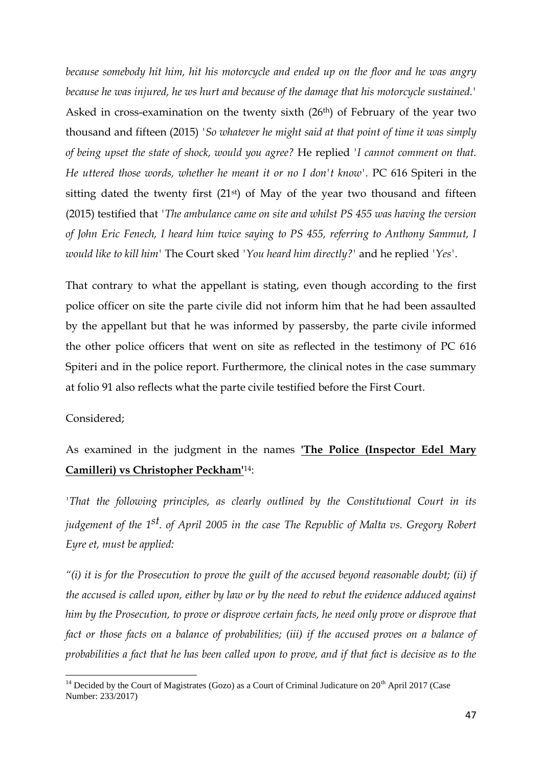*because somebody hit him, hit his motorcycle and ended up on the floor and he was angry because he was injured, he ws hurt and because of the damage that his motorcycle sustained.'* Asked in cross-examination on the twenty sixth (26th) of February of the year two thousand and fifteen (2015) *'So whatever he might said at that point of time it was simply of being upset the state of shock, would you agree?* He replied *'I cannot comment on that. He uttered those words, whether he meant it or no I don't know'.* PC 616 Spiteri in the sitting dated the twenty first  $(21^{st})$  of May of the year two thousand and fifteen (2015) testified that *'The ambulance came on site and whilst PS 455 was having the version of John Eric Fenech, I heard him twice saying to PS 455, referring to Anthony Sammut, I would like to kill him'* The Court sked *'You heard him directly?'* and he replied *'Yes'*.

That contrary to what the appellant is stating, even though according to the first police officer on site the parte civile did not inform him that he had been assaulted by the appellant but that he was informed by passersby, the parte civile informed the other police officers that went on site as reflected in the testimony of PC 616 Spiteri and in the police report. Furthermore, the clinical notes in the case summary at folio 91 also reflects what the parte civile testified before the First Court.

#### Considered;

As examined in the judgment in the names **'The Police (Inspector Edel Mary Camilleri) vs Christopher Peckham'**14:

*'That the following principles, as clearly outlined by the Constitutional Court in its judgement of the 1st. of April 2005 in the case The Republic of Malta vs. Gregory Robert Eyre et, must be applied:* 

*"(i) it is for the Prosecution to prove the guilt of the accused beyond reasonable doubt; (ii) if the accused is called upon, either by law or by the need to rebut the evidence adduced against him by the Prosecution, to prove or disprove certain facts, he need only prove or disprove that fact or those facts on a balance of probabilities; (iii) if the accused proves on a balance of probabilities a fact that he has been called upon to prove, and if that fact is decisive as to the* 

 $\overline{a}$  $14$  Decided by the Court of Magistrates (Gozo) as a Court of Criminal Judicature on  $20<sup>th</sup>$  April 2017 (Case Number: 233/2017)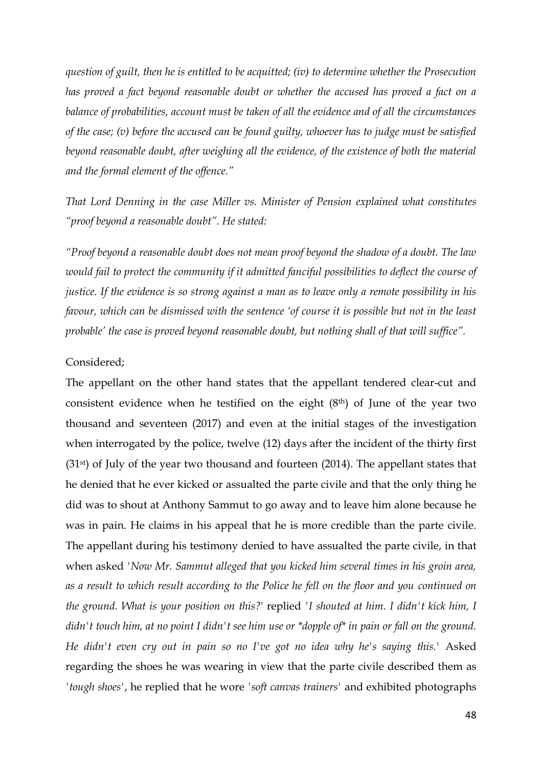*question of guilt, then he is entitled to be acquitted; (iv) to determine whether the Prosecution has proved a fact beyond reasonable doubt or whether the accused has proved a fact on a balance of probabilities, account must be taken of all the evidence and of all the circumstances of the case; (v) before the accused can be found guilty, whoever has to judge must be satisfied beyond reasonable doubt, after weighing all the evidence, of the existence of both the material and the formal element of the offence."* 

*That Lord Denning in the case Miller vs. Minister of Pension explained what constitutes "proof beyond a reasonable doubt". He stated:* 

*"Proof beyond a reasonable doubt does not mean proof beyond the shadow of a doubt. The law would fail to protect the community if it admitted fanciful possibilities to deflect the course of justice. If the evidence is so strong against a man as to leave only a remote possibility in his favour, which can be dismissed with the sentence 'of course it is possible but not in the least probable' the case is proved beyond reasonable doubt, but nothing shall of that will suffice".* 

#### Considered;

The appellant on the other hand states that the appellant tendered clear-cut and consistent evidence when he testified on the eight (8th) of June of the year two thousand and seventeen (2017) and even at the initial stages of the investigation when interrogated by the police, twelve (12) days after the incident of the thirty first (31st) of July of the year two thousand and fourteen (2014). The appellant states that he denied that he ever kicked or assualted the parte civile and that the only thing he did was to shout at Anthony Sammut to go away and to leave him alone because he was in pain. He claims in his appeal that he is more credible than the parte civile. The appellant during his testimony denied to have assualted the parte civile, in that when asked *'Now Mr. Sammut alleged that you kicked him several times in his groin area, as a result to which result according to the Police he fell on the floor and you continued on the ground. What is your position on this?*' replied *'I shouted at him. I didn't kick him, I didn't touch him, at no point I didn't see him use or \*dopple of\* in pain or fall on the ground. He didn't even cry out in pain so no I've got no idea why he's saying this.'* Asked regarding the shoes he was wearing in view that the parte civile described them as *'tough shoes'*, he replied that he wore *'soft canvas trainers'* and exhibited photographs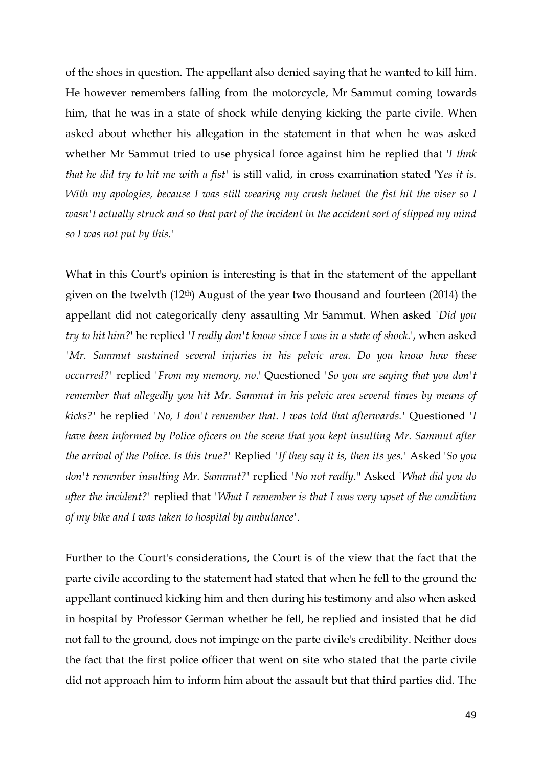of the shoes in question. The appellant also denied saying that he wanted to kill him. He however remembers falling from the motorcycle, Mr Sammut coming towards him, that he was in a state of shock while denying kicking the parte civile. When asked about whether his allegation in the statement in that when he was asked whether Mr Sammut tried to use physical force against him he replied that '*I thnk that he did try to hit me with a fist'* is still valid, in cross examination stated 'Y*es it is. With my apologies, because I was still wearing my crush helmet the fist hit the viser so I wasn't actually struck and so that part of the incident in the accident sort of slipped my mind so I was not put by this.'* 

What in this Court's opinion is interesting is that in the statement of the appellant given on the twelvth (12th) August of the year two thousand and fourteen (2014) the appellant did not categorically deny assaulting Mr Sammut. When asked *'Did you try to hit him?*' he replied *'I really don't know since I was in a state of shock.*', when asked *'Mr. Sammut sustained several injuries in his pelvic area. Do you know how these occurred?'* replied *'From my memory, no*.' Questioned *'So you are saying that you don't remember that allegedly you hit Mr. Sammut in his pelvic area several times by means of kicks?'* he replied *'No, I don't remember that. I was told that afterwards.'* Questioned *'I have been informed by Police oficers on the scene that you kept insulting Mr. Sammut after the arrival of the Police. Is this true?'* Replied *'If they say it is, then its yes.'* Asked '*So you don't remember insulting Mr. Sammut?'* replied *'No not really*.'' Asked *'What did you do after the incident?'* replied that *'What I remember is that I was very upset of the condition of my bike and I was taken to hospital by ambulance'*.

Further to the Court's considerations, the Court is of the view that the fact that the parte civile according to the statement had stated that when he fell to the ground the appellant continued kicking him and then during his testimony and also when asked in hospital by Professor German whether he fell, he replied and insisted that he did not fall to the ground, does not impinge on the parte civile's credibility. Neither does the fact that the first police officer that went on site who stated that the parte civile did not approach him to inform him about the assault but that third parties did. The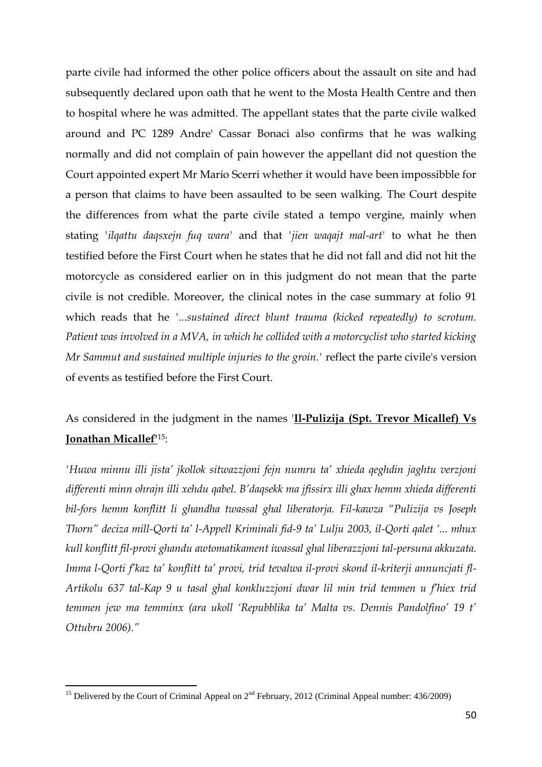parte civile had informed the other police officers about the assault on site and had subsequently declared upon oath that he went to the Mosta Health Centre and then to hospital where he was admitted. The appellant states that the parte civile walked around and PC 1289 Andre' Cassar Bonaci also confirms that he was walking normally and did not complain of pain however the appellant did not question the Court appointed expert Mr Mario Scerri whether it would have been impossibble for a person that claims to have been assaulted to be seen walking. The Court despite the differences from what the parte civile stated a tempo vergine, mainly when stating *'ilqattu daqsxejn fuq wara'* and that *'jien waqajt mal-art'* to what he then testified before the First Court when he states that he did not fall and did not hit the motorcycle as considered earlier on in this judgment do not mean that the parte civile is not credible. Moreover, the clinical notes in the case summary at folio 91 which reads that he *'...sustained direct blunt trauma (kicked repeatedly) to scrotum. Patient was involved in a MVA, in which he collided with a motorcyclist who started kicking Mr Sammut and sustained multiple injuries to the groin.'* reflect the parte civile's version of events as testified before the First Court.

# As considered in the judgment in the names '**Il-Pulizija (Spt. Trevor Micallef) Vs Jonathan Micallef'**15:

*'Huwa minnu illi jista' jkollok sitwazzjoni fejn numru ta' xhieda qeghdin jaghtu verzjoni differenti minn ohrajn illi xehdu qabel. B'daqsekk ma jfissirx illi ghax hemm xhieda differenti bil-fors hemm konflitt li ghandha twassal ghal liberatorja. Fil-kawza "Pulizija vs Joseph Thorn" deciza mill-Qorti ta' l-Appell Kriminali fid-9 ta' Lulju 2003, il-Qorti qalet '... mhux kull konflitt fil-provi ghandu awtomatikament iwassal ghal liberazzjoni tal-persuna akkuzata. Imma l-Qorti f'kaz ta' konflitt ta' provi, trid tevalwa il-provi skond il-kriterji annuncjati fl-Artikolu 637 tal-Kap 9 u tasal ghal konkluzzjoni dwar lil min trid temmen u f'hiex trid temmen jew ma temminx (ara ukoll 'Repubblika ta' Malta vs. Dennis Pandolfino' 19 t' Ottubru 2006)."* 

l

<sup>&</sup>lt;sup>15</sup> Delivered by the Court of Criminal Appeal on  $2<sup>nd</sup>$  February, 2012 (Criminal Appeal number: 436/2009)